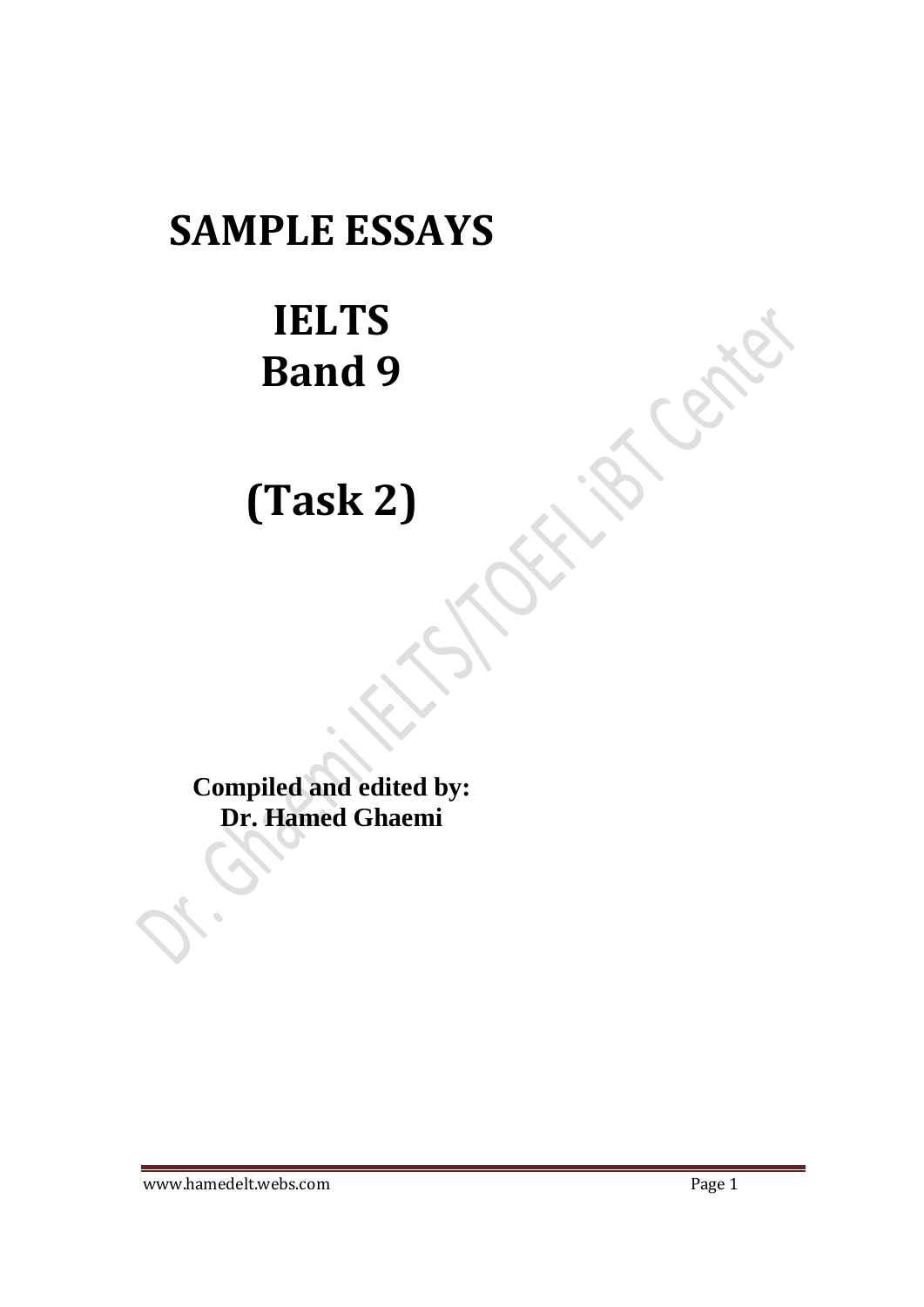# **SAMPLE ESSAYS**

# **IELTS Band 9**

# **(Task 2)**

**Compiled and edited by: Dr. Hamed Ghaemi**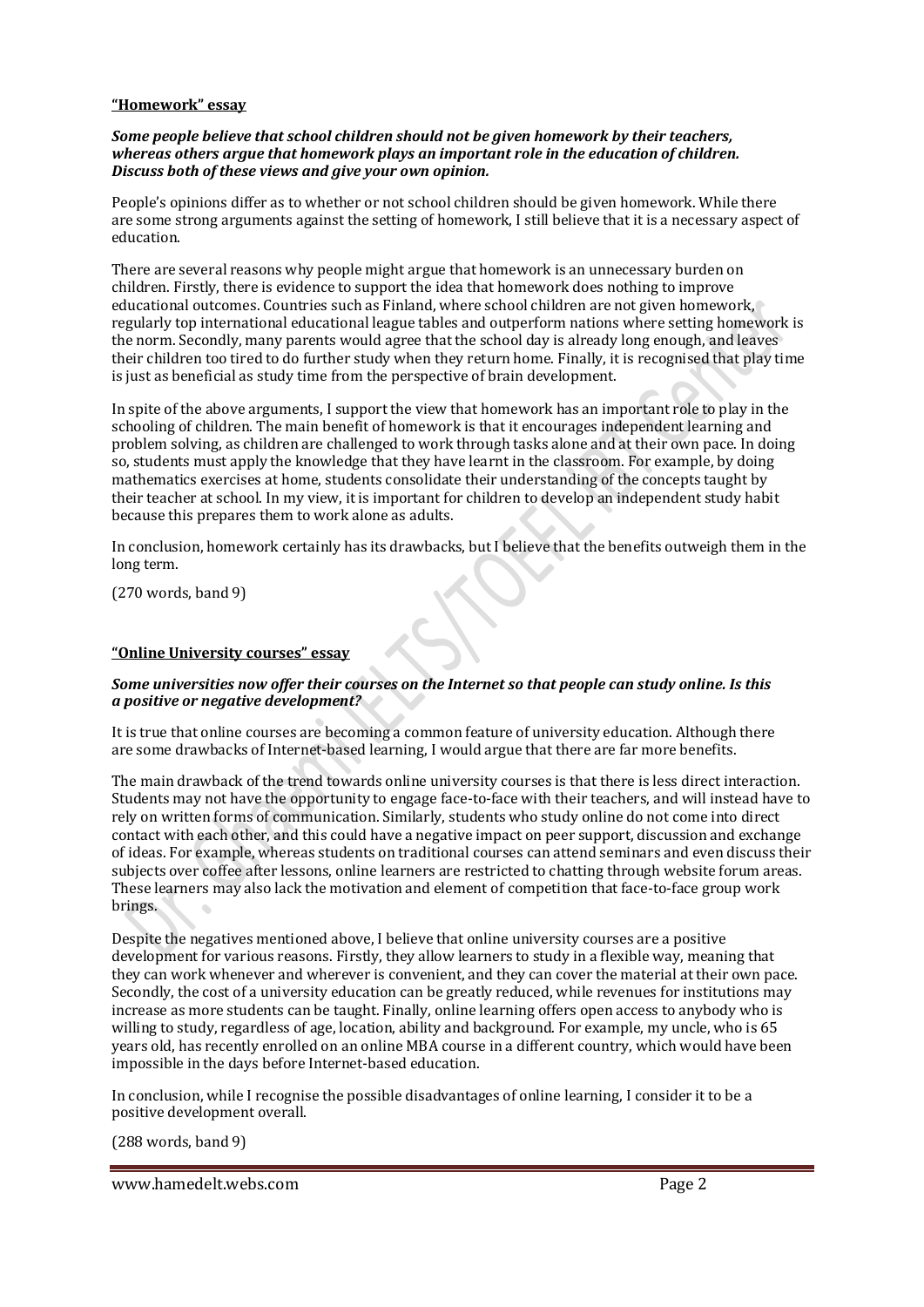# **"Homework" essay**

#### *Some people believe that school children should not be given homework by their teachers, whereas others argue that homework plays an important role in the education of children. Discuss both of these views and give your own opinion.*

People's opinions differ as to whether or not school children should be given homework. While there are some strong arguments against the setting of homework, I still believe that it is a necessary aspect of education.

There are several reasons why people might argue that homework is an unnecessary burden on children. Firstly, there is evidence to support the idea that homework does nothing to improve educational outcomes. Countries such as Finland, where school children are not given homework, regularly top international educational league tables and outperform nations where setting homework is the norm. Secondly, many parents would agree that the school day is already long enough, and leaves their children too tired to do further study when they return home. Finally, it is recognised that play time is just as beneficial as study time from the perspective of brain development.

In spite of the above arguments, I support the view that homework has an important role to play in the schooling of children. The main benefit of homework is that it encourages independent learning and problem solving, as children are challenged to work through tasks alone and at their own pace. In doing so, students must apply the knowledge that they have learnt in the classroom. For example, by doing mathematics exercises at home, students consolidate their understanding of the concepts taught by their teacher at school. In my view, it is important for children to develop an independent study habit because this prepares them to work alone as adults.

In conclusion, homework certainly has its drawbacks, but I believe that the benefits outweigh them in the long term.

(270 words, band 9)

# **"Online University courses" essay**

# *Some universities now offer their courses on the Internet so that people can study online. Is this a positive or negative development?*

It is true that online courses are becoming a common feature of university education. Although there are some drawbacks of Internet-based learning, I would argue that there are far more benefits.

The main drawback of the trend towards online university courses is that there is less direct interaction. Students may not have the opportunity to engage face-to-face with their teachers, and will instead have to rely on written forms of communication. Similarly, students who study online do not come into direct contact with each other, and this could have a negative impact on peer support, discussion and exchange of ideas. For example, whereas students on traditional courses can attend seminars and even discuss their subjects over coffee after lessons, online learners are restricted to chatting through website forum areas. These learners may also lack the motivation and element of competition that face-to-face group work brings.

Despite the negatives mentioned above, I believe that online university courses are a positive development for various reasons. Firstly, they allow learners to study in a flexible way, meaning that they can work whenever and wherever is convenient, and they can cover the material at their own pace. Secondly, the cost of a university education can be greatly reduced, while revenues for institutions may increase as more students can be taught. Finally, online learning offers open access to anybody who is willing to study, regardless of age, location, ability and background. For example, my uncle, who is 65 years old, has recently enrolled on an online MBA course in a different country, which would have been impossible in the days before Internet-based education.

In conclusion, while I recognise the possible disadvantages of online learning, I consider it to be a positive development overall.

(288 words, band 9)

[www.hamedelt.webs.com](http://www.hamedelt.webs.com/) example a series of the Page 2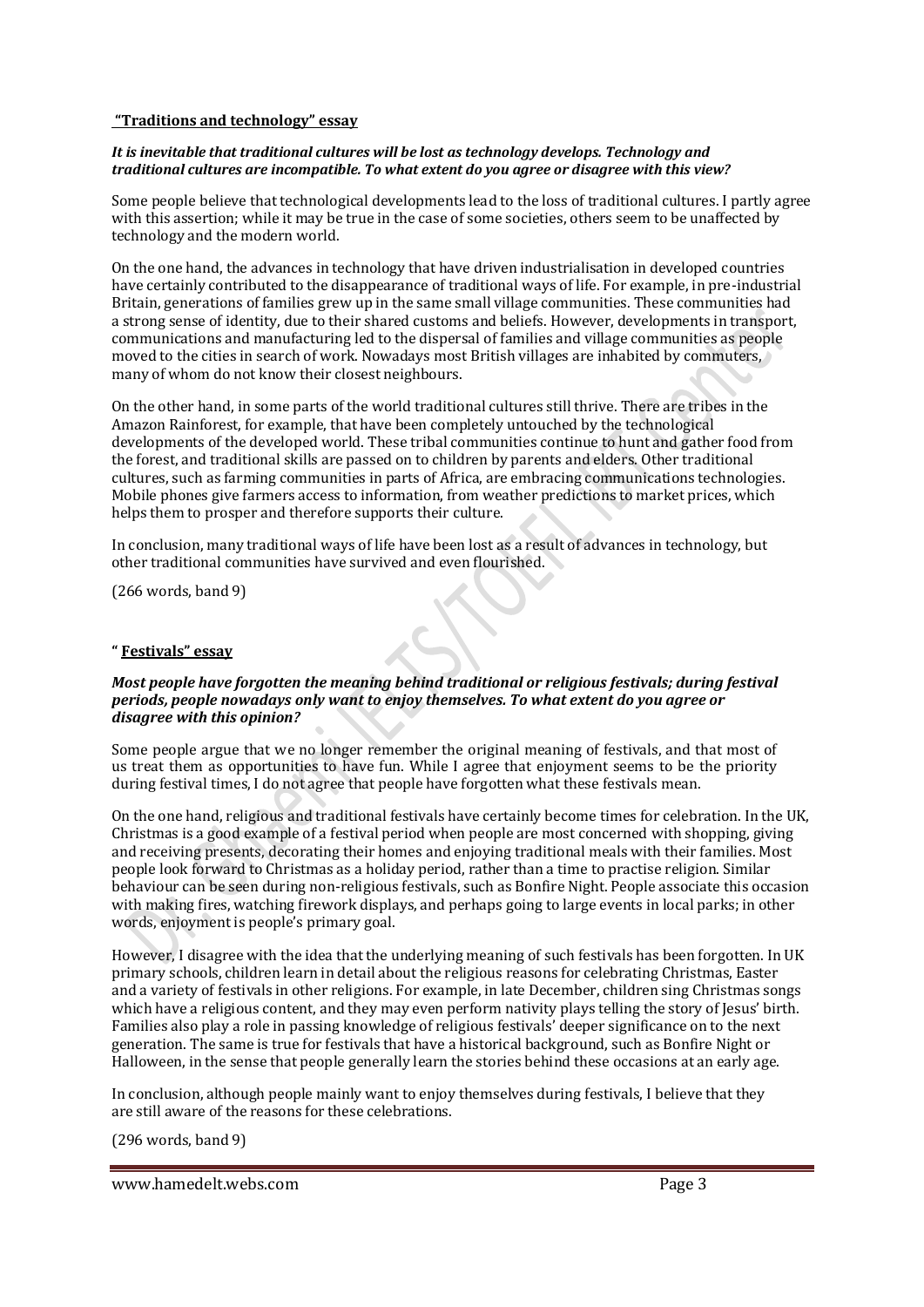# **["Traditions and technology" essa](http://ielts-simon.com/ielts-help-and-english-pr/2017/02/ielts-writing-task-2-traditions-and-technology-essay.html)y**

# *It is inevitable that traditional cultures will be lost as technology develops. Technology and traditional cultures are incompatible. To what extent do you agree or disagree with this view?*

Some people believe that technological developments lead to the loss of traditional cultures. I partly agree with this assertion; while it may be true in the case of some societies, others seem to be unaffected by technology and the modern world.

On the one hand, the advances in technology that have driven industrialisation in developed countries have certainly contributed to the disappearance of traditional ways of life. For example, in pre-industrial Britain, generations of families grew up in the same small village communities. These communities had a strong sense of identity, due to their shared customs and beliefs. However, developments in transport, communications and manufacturing led to the dispersal of families and village communities as people moved to the cities in search of work. Nowadays most British villages are inhabited by commuters, many of whom do not know their closest neighbours.

On the other hand, in some parts of the world traditional cultures still thrive. There are tribes in the Amazon Rainforest, for example, that have been completely untouched by the technological developments of the developed world. These tribal communities continue to hunt and gather food from the forest, and traditional skills are passed on to children by parents and elders. Other traditional cultures, such as farming communities in parts of Africa, are embracing communications technologies. Mobile phones give farmers access to information, from weather predictions to market prices, which helps them to prosper and therefore supports their culture.

In conclusion, many traditional ways of life have been lost as a result of advances in technology, but other traditional communities have survived and even flourished.

(266 words, band 9)

# **" [Festivals" essa](http://ielts-simon.com/ielts-help-and-english-pr/2016/12/ielts-writing-task-2-festivals-essay.html)y**

# *Most people have forgotten the meaning behind traditional or religious festivals; during festival periods, people nowadays only want to enjoy themselves. To what extent do you agree or disagree with this opinion?*

Some people argue that we no longer remember the original meaning of festivals, and that most of us treat them as opportunities to have fun. While I agree that enjoyment seems to be the priority during festival times, I do not agree that people have forgotten what these festivals mean.

On the one hand, religious and traditional festivals have certainly become times for celebration. In the UK, Christmas is a good example of a festival period when people are most concerned with shopping, giving and receiving presents, decorating their homes and enjoying traditional meals with their families. Most people look forward to Christmas as a holiday period, rather than a time to practise religion. Similar behaviour can be seen during non-religious festivals, such as Bonfire Night. People associate this occasion with making fires, watching firework displays, and perhaps going to large events in local parks; in other words, enjoyment is people's primary goal.

However, I disagree with the idea that the underlying meaning of such festivals has been forgotten. In UK primary schools, children learn in detail about the religious reasons for celebrating Christmas, Easter and a variety of festivals in other religions. For example, in late December, children sing Christmas songs which have a religious content, and they may even perform nativity plays telling the story of Jesus' birth. Families also play a role in passing knowledge of religious festivals' deeper significance on to the next generation. The same is true for festivals that have a historical background, such as Bonfire Night or Halloween, in the sense that people generally learn the stories behind these occasions at an early age.

In conclusion, although people mainly want to enjoy themselves during festivals, I believe that they are still aware of the reasons for these celebrations.

(296 words, band 9)

[www.hamedelt.webs.com](http://www.hamedelt.webs.com/) example a state of the Page 3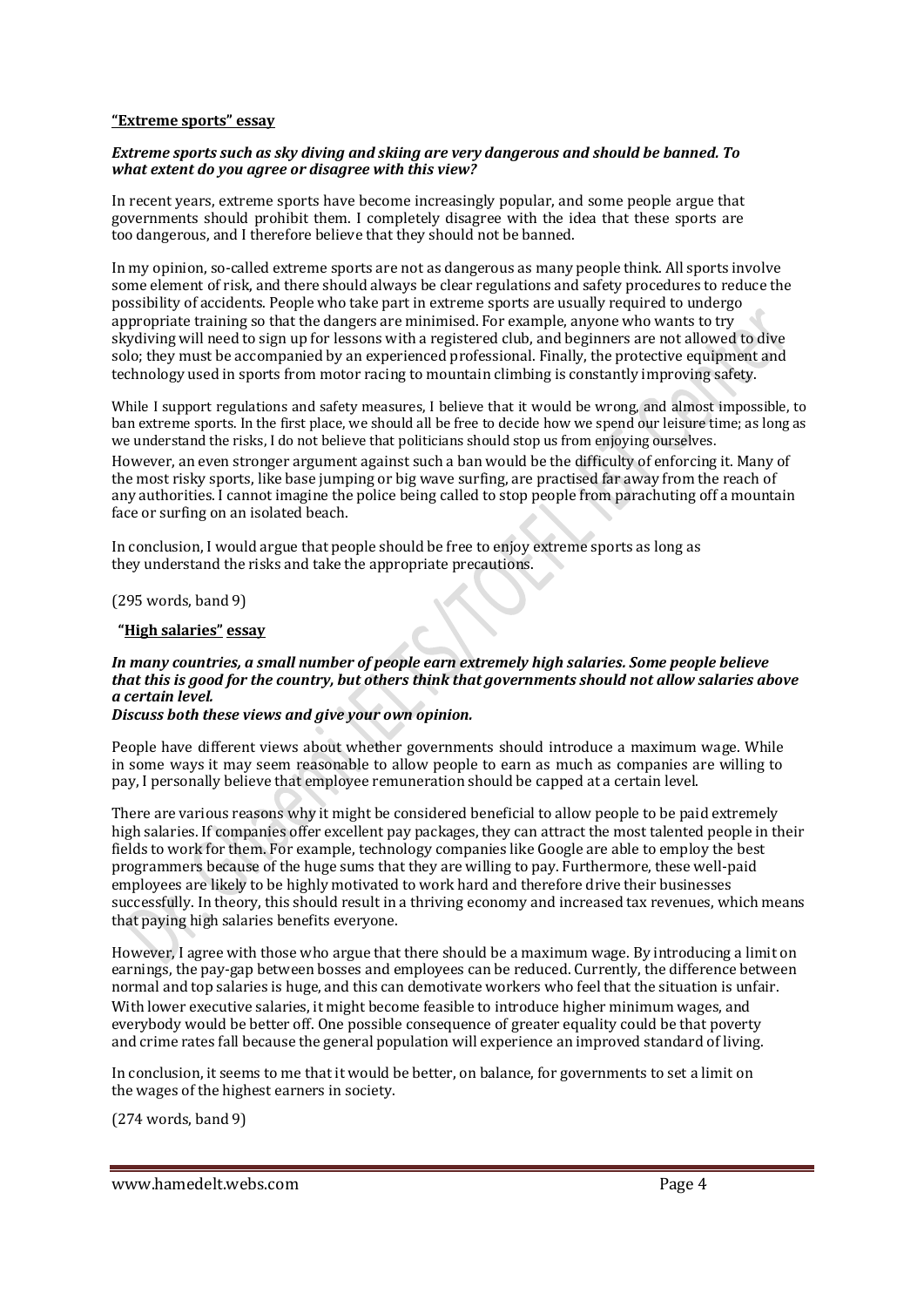### **"Extreme sports" essay**

### *Extreme sports such as sky diving and skiing are very dangerous and should be banned. To what extent do you agree or disagree with this view?*

In recent years, extreme sports have become increasingly popular, and some people argue that governments should prohibit them. I completely disagree with the idea that these sports are too dangerous, and I therefore believe that they should not be banned.

In my opinion, so-called extreme sports are not as dangerous as many people think. All sports involve some element of risk, and there should always be clear regulations and safety procedures to reduce the possibility of accidents. People who take part in extreme sports are usually required to undergo appropriate training so that the dangers are minimised. For example, anyone who wants to try skydiving will need to sign up for lessons with a registered club, and beginners are not allowed to dive solo; they must be accompanied by an experienced professional. Finally, the protective equipment and technology used in sports from motor racing to mountain climbing is constantly improving safety.

While I support regulations and safety measures, I believe that it would be wrong, and almost impossible, to ban extreme sports. In the first place, we should all be free to decide how we spend our leisure time; as long as we understand the risks, I do not believe that politicians should stop us from enjoying ourselves.

However, an even stronger argument against such a ban would be the difficulty of enforcing it. Many of the most risky sports, like base jumping or big wave surfing, are practised far away from the reach of any authorities. I cannot imagine the police being called to stop people from parachuting off a mountain face or surfing on an isolated beach.

In conclusion, I would argue that people should be free to enjoy extreme sports as long as they understand the risks and take the appropriate precautions.

(295 words, band 9)

# **["High salaries"](http://ielts-simon.com/ielts-help-and-english-pr/2016/10/ielts-writing-task-2-high-salaries-essay.html) essay**

# *In many countries, a small number of people earn extremely high salaries. Some people believe that this is good for the country, but others think that governments should not allow salaries above a certain level.*

# *Discuss both these views and give your own opinion.*

People have different views about whether governments should introduce a maximum wage. While in some ways it may seem reasonable to allow people to earn as much as companies are willing to pay, I personally believe that employee remuneration should be capped at a certain level.

There are various reasons why it might be considered beneficial to allow people to be paid extremely high salaries. If companies offer excellent pay packages, they can attract the most talented people in their fields to work for them. For example, technology companies like Google are able to employ the best programmers because of the huge sums that they are willing to pay. Furthermore, these well-paid employees are likely to be highly motivated to work hard and therefore drive their businesses successfully. In theory, this should result in a thriving economy and increased tax revenues, which means that paying high salaries benefits everyone.

However, I agree with those who argue that there should be a maximum wage. By introducing a limit on earnings, the pay-gap between bosses and employees can be reduced. Currently, the difference between normal and top salaries is huge, and this can demotivate workers who feel that the situation is unfair. With lower executive salaries, it might become feasible to introduce higher minimum wages, and everybody would be better off. One possible consequence of greater equality could be that poverty and crime rates fall because the general population will experience an improved standard of living.

In conclusion, it seems to me that it would be better, on balance, for governments to set a limit on the wages of the highest earners in society.

(274 words, band 9)

[www.hamedelt.webs.com](http://www.hamedelt.webs.com/) example a set of the Page 4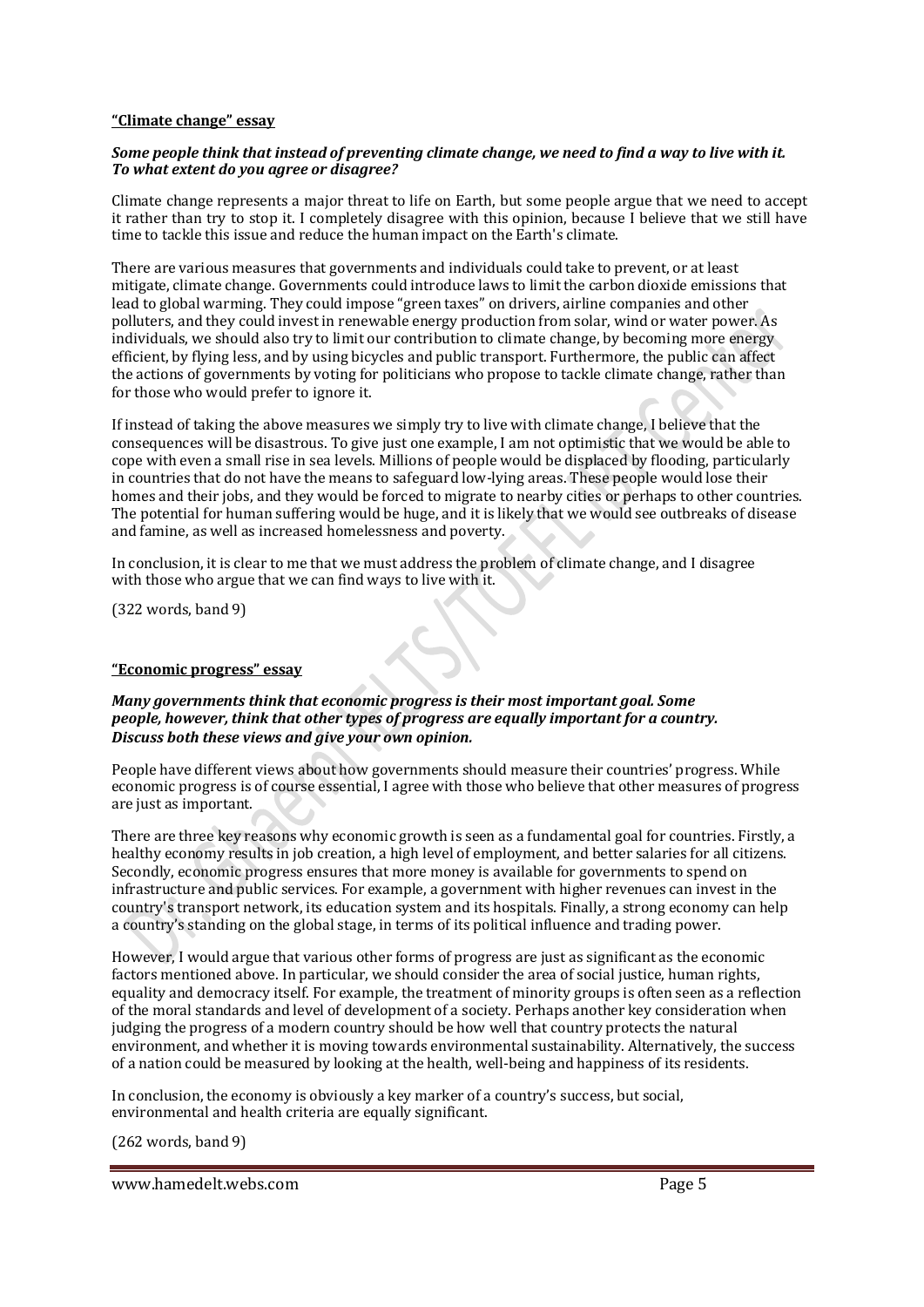### **"Climate change" essay**

# *Some people think that instead of preventing climate change, we need to find a way to live with it. To what extent do you agree or disagree?*

Climate change represents a major threat to life on Earth, but some people argue that we need to accept it rather than try to stop it. I completely disagree with this opinion, because I believe that we still have time to tackle this issue and reduce the human impact on the Earth's climate.

There are various measures that governments and individuals could take to prevent, or at least mitigate, climate change. Governments could introduce laws to limit the carbon dioxide emissions that lead to global warming. They could impose "green taxes" on drivers, airline companies and other polluters, and they could invest in renewable energy production from solar, wind or water power. As individuals, we should also try to limit our contribution to climate change, by becoming more energy efficient, by flying less, and by using bicycles and public transport. Furthermore, the public can affect the actions of governments by voting for politicians who propose to tackle climate change, rather than for those who would prefer to ignore it.

If instead of taking the above measures we simply try to live with climate change, I believe that the consequences will be disastrous. To give just one example, I am not optimistic that we would be able to cope with even a small rise in sea levels. Millions of people would be displaced by flooding, particularly in countries that do not have the means to safeguard low-lying areas. These people would lose their homes and their jobs, and they would be forced to migrate to nearby cities or perhaps to other countries. The potential for human suffering would be huge, and it is likely that we would see outbreaks of disease and famine, as well as increased homelessness and poverty.

In conclusion, it is clear to me that we must address the problem of climate change, and I disagree with those who argue that we can find ways to live with it.

(322 words, band 9)

# **"Economic progress" essay**

# *Many governments think that economic progress is their most important goal. Some people, however, think that other types of progress are equally important for a country. Discuss both these views and give your own opinion.*

People have different views about how governments should measure their countries' progress. While economic progress is of course essential, I agree with those who believe that other measures of progress are just as important.

There are three key reasons why economic growth is seen as a fundamental goal for countries. Firstly, a healthy economy results in job creation, a high level of employment, and better salaries for all citizens. Secondly, economic progress ensures that more money is available for governments to spend on infrastructure and public services. For example, a government with higher revenues can invest in the country's transport network, its education system and its hospitals. Finally, a strong economy can help a country's standing on the global stage, in terms of its political influence and trading power.

However, I would argue that various other forms of progress are just as significant as the economic factors mentioned above. In particular, we should consider the area of social justice, human rights, equality and democracy itself. For example, the treatment of minority groups is often seen as a reflection of the moral standards and level of development of a society. Perhaps another key consideration when judging the progress of a modern country should be how well that country protects the natural environment, and whether it is moving towards environmental sustainability. Alternatively, the success of a nation could be measured by looking at the health, well-being and happiness of its residents.

In conclusion, the economy is obviously a key marker of a country's success, but social, environmental and health criteria are equally significant.

(262 words, band 9)

[www.hamedelt.webs.com](http://www.hamedelt.webs.com/) example a series are proportional page 5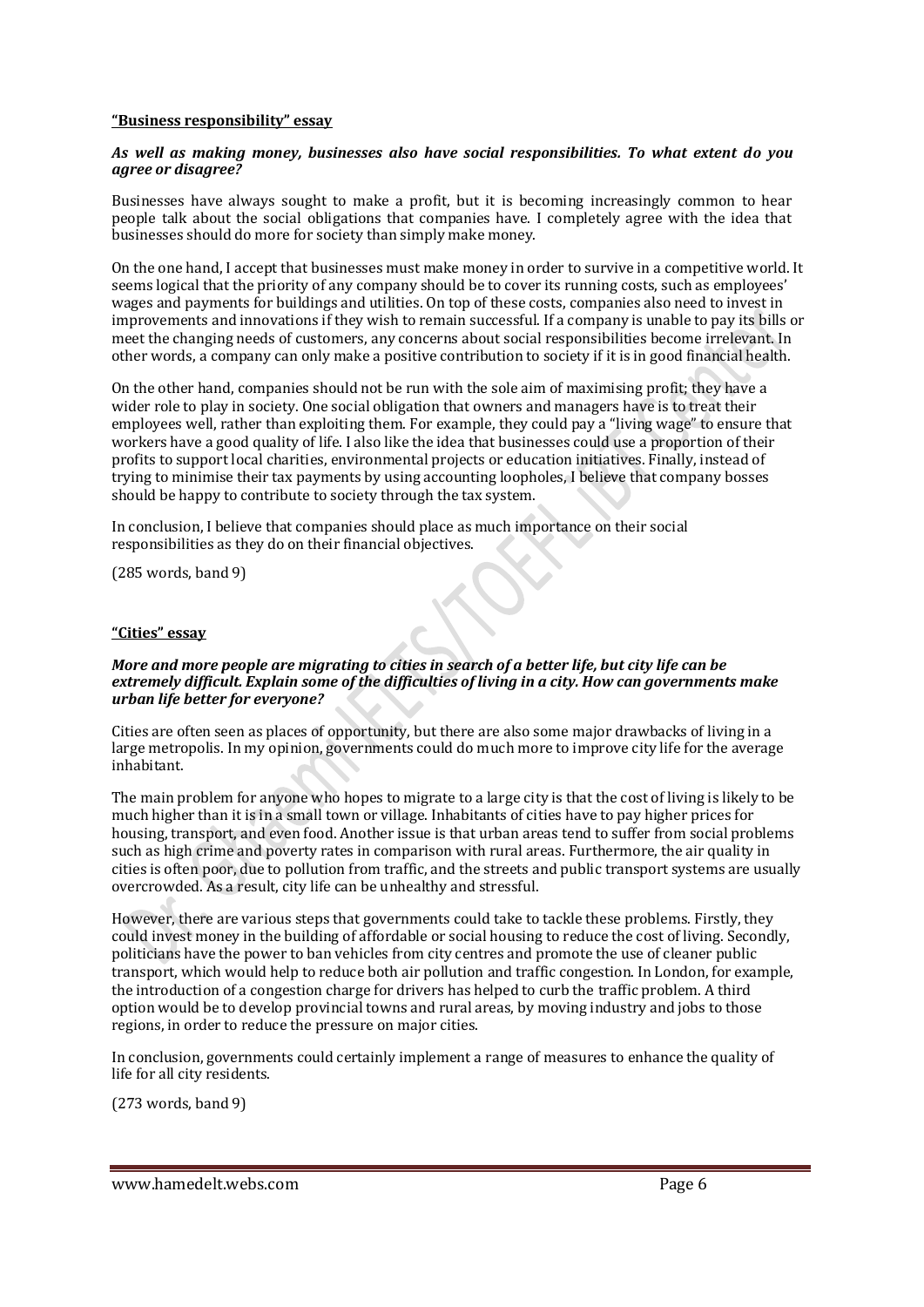# **"Business responsibility" essay**

### *As well as making money, businesses also have social responsibilities. To what extent do you agree or disagree?*

Businesses have always sought to make a profit, but it is becoming increasingly common to hear people talk about the social obligations that companies have. I completely agree with the idea that businesses should do more for society than simply make money.

On the one hand, I accept that businesses must make money in order to survive in a competitive world. It seems logical that the priority of any company should be to cover its running costs, such as employees' wages and payments for buildings and utilities. On top of these costs, companies also need to invest in improvements and innovations if they wish to remain successful. If a company is unable to pay its bills or meet the changing needs of customers, any concerns about social responsibilities become irrelevant. In other words, a company can only make a positive contribution to society if it is in good financial health.

On the other hand, companies should not be run with the sole aim of maximising profit; they have a wider role to play in society. One social obligation that owners and managers have is to treat their employees well, rather than exploiting them. For example, they could pay a "living wage" to ensure that workers have a good quality of life. I also like the idea that businesses could use a proportion of their profits to support local charities, environmental projects or education initiatives. Finally, instead of trying to minimise their tax payments by using accounting loopholes, I believe that company bosses should be happy to contribute to society through the tax system.

In conclusion, I believe that companies should place as much importance on their social responsibilities as they do on their financial objectives.

(285 words, band 9)

# **"Cities" essay**

#### *More and more people are migrating to cities in search of a better life, but city life can be extremely difficult. Explain some of the difficulties of living in a city. How can governments make urban life better for everyone?*

Cities are often seen as places of opportunity, but there are also some major drawbacks of living in a large metropolis. In my opinion, governments could do much more to improve city life for the average inhabitant.

The main problem for anyone who hopes to migrate to a large city is that the cost of living is likely to be much higher than it is in a small town or village. Inhabitants of cities have to pay higher prices for housing, transport, and even food. Another issue is that urban areas tend to suffer from social problems such as high crime and poverty rates in comparison with rural areas. Furthermore, the air quality in cities is often poor, due to pollution from traffic, and the streets and public transport systems are usually overcrowded. As a result, city life can be unhealthy and stressful.

However, there are various steps that governments could take to tackle these problems. Firstly, they could invest money in the building of affordable or social housing to reduce the cost of living. Secondly, politicians have the power to ban vehicles from city centres and promote the use of cleaner public transport, which would help to reduce both air pollution and traffic congestion. In London, for example, the introduction of a congestion charge for drivers has helped to curb the traffic problem. A third option would be to develop provincial towns and rural areas, by moving industry and jobs to those regions, in order to reduce the pressure on major cities.

In conclusion, governments could certainly implement a range of measures to enhance the quality of life for all city residents.

(273 words, band 9)

[www.hamedelt.webs.com](http://www.hamedelt.webs.com/) example a series are provided a series of  $P$  and  $P$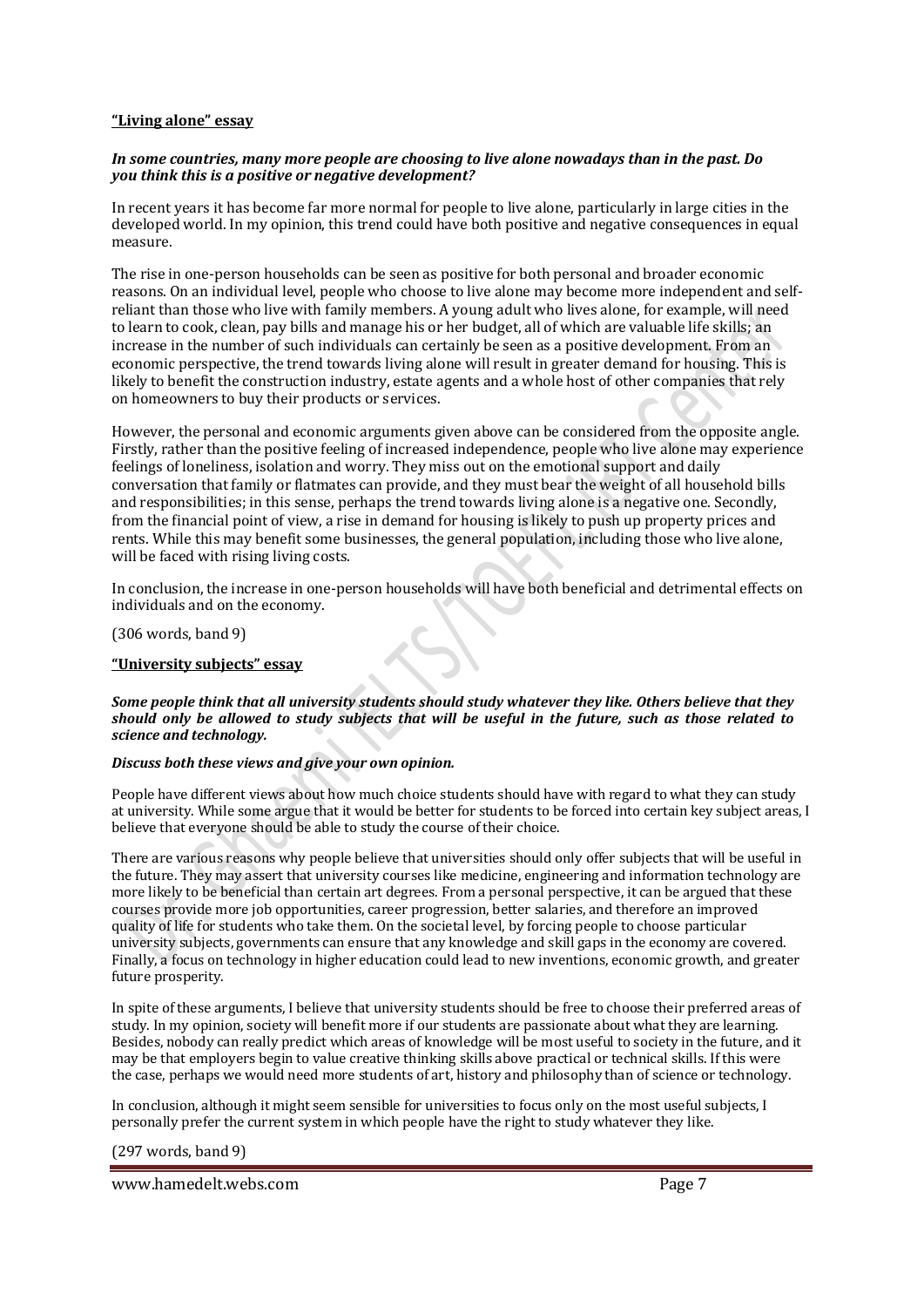# **"Living alone" essay**

# *In some countries, many more people are choosing to live alone nowadays than in the past. Do you think this is a positive or negative development?*

In recent years it has become far more normal for people to live alone, particularly in large cities in the developed world. In my opinion, this trend could have both positive and negative consequences in equal measure.

The rise in one-person households can be seen as positive for both personal and broader economic reasons. On an individual level, people who choose to live alone may become more independent and selfreliant than those who live with family members. A young adult who lives alone, for example, will need to learn to cook, clean, pay bills and manage his or her budget, all of which are valuable life skills; an increase in the number of such individuals can certainly be seen as a positive development. From an economic perspective, the trend towards living alone will result in greater demand for housing. This is likely to benefit the construction industry, estate agents and a whole host of other companies that rely on homeowners to buy their products or services.

However, the personal and economic arguments given above can be considered from the opposite angle. Firstly, rather than the positive feeling of increased independence, people who live alone may experience feelings of loneliness, isolation and worry. They miss out on the emotional support and daily conversation that family or flatmates can provide, and they must bear the weight of all household bills and responsibilities; in this sense, perhaps the trend towards living alone is a negative one. Secondly, from the financial point of view, a rise in demand for housing is likely to push up property prices and rents. While this may benefit some businesses, the general population, including those who live alone, will be faced with rising living costs.

In conclusion, the increase in one-person households will have both beneficial and detrimental effects on individuals and on the economy.

(306 words, band 9)

# **"University subjects" essay**

#### *Some people think that all university students should study whatever they like. Others believe that they should only be allowed to study subjects that will be useful in the future, such as those related to science and technology.*

# *Discuss both these views and give your own opinion.*

People have different views about how much choice students should have with regard to what they can study at university. While some argue that it would be better for students to be forced into certain key subject areas, I believe that everyone should be able to study the course of their choice.

There are various reasons why people believe that universities should only offer subjects that will be useful in the future. They may assert that university courses like medicine, engineering and information technology are more likely to be beneficial than certain art degrees. From a personal perspective, it can be argued that these courses provide more job opportunities, career progression, better salaries, and therefore an improved quality of life for students who take them. On the societal level, by forcing people to choose particular university subjects, governments can ensure that any knowledge and skill gaps in the economy are covered. Finally, a focus on technology in higher education could lead to new inventions, economic growth, and greater future prosperity.

In spite of these arguments, I believe that university students should be free to choose their preferred areas of study. In my opinion, society will benefit more if our students are passionate about what they are learning. Besides, nobody can really predict which areas of knowledge will be most useful to society in the future, and it may be that employers begin to value creative thinking skills above practical or technical skills. If this were the case, perhaps we would need more students of art, history and philosophy than of science or technology.

In conclusion, although it might seem sensible for universities to focus only on the most useful subjects, I personally prefer the current system in which people have the right to study whatever they like.

# (297 words, band 9)

[www.hamedelt.webs.com](http://www.hamedelt.webs.com/) example a state of the Page 7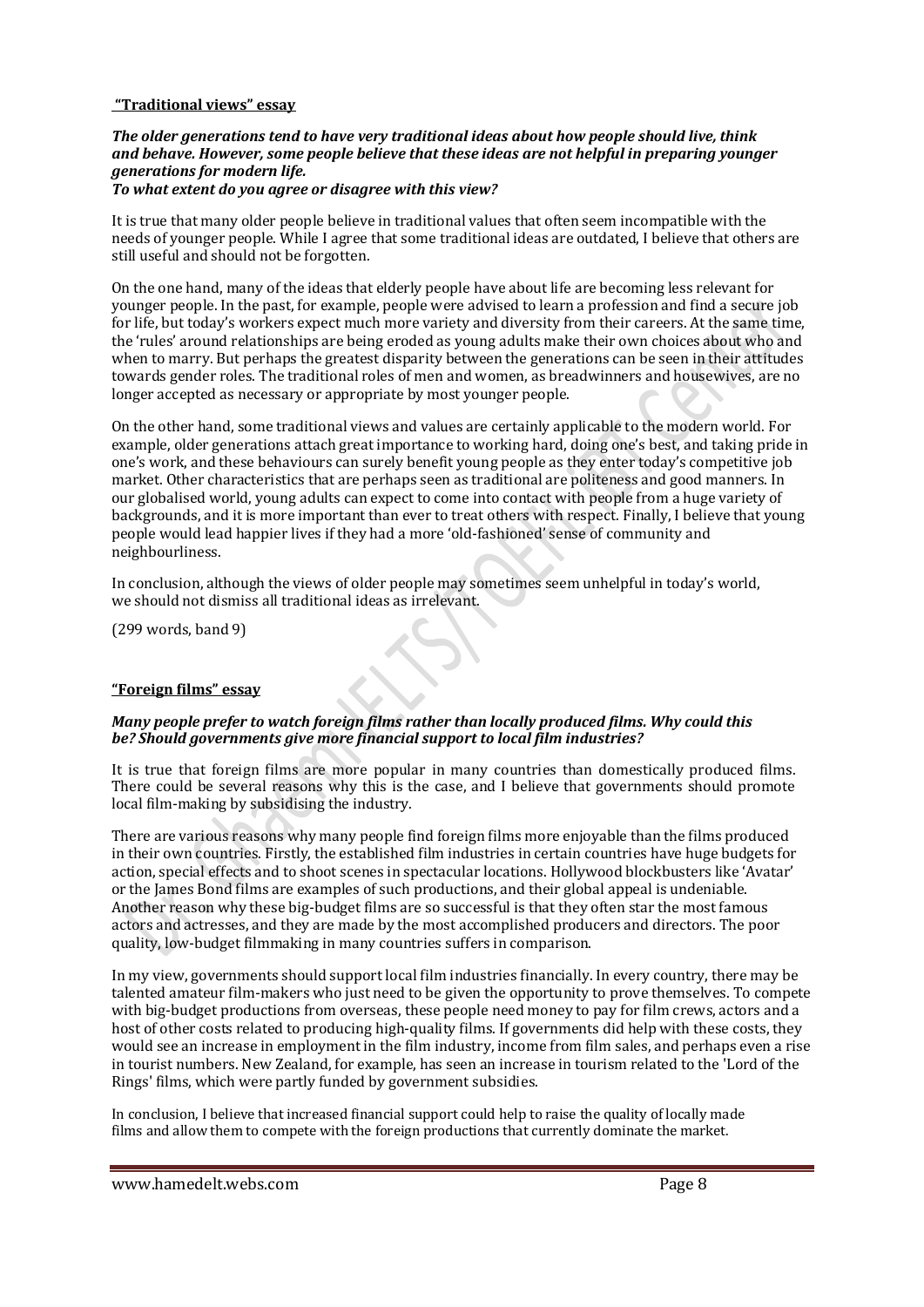# **["Traditional views" essa](http://ielts-simon.com/ielts-help-and-english-pr/2015/08/ielts-writing-task-2-traditional-views-essay.html)y**

# *The older generations tend to have very traditional ideas about how people should live, think and behave. However, some people believe that these ideas are not helpful in preparing younger generations for modern life.*

# *To what extent do you agree or disagree with this view?*

It is true that many older people believe in traditional values that often seem incompatible with the needs of younger people. While I agree that some traditional ideas are outdated, I believe that others are still useful and should not be forgotten.

On the one hand, many of the ideas that elderly people have about life are becoming less relevant for younger people. In the past, for example, people were advised to learn a profession and find a secure job for life, but today's workers expect much more variety and diversity from their careers. At the same time, the 'rules' around relationships are being eroded as young adults make their own choices about who and when to marry. But perhaps the greatest disparity between the generations can be seen in their attitudes towards gender roles. The traditional roles of men and women, as breadwinners and housewives, are no longer accepted as necessary or appropriate by most younger people.

On the other hand, some traditional views and values are certainly applicable to the modern world. For example, older generations attach great importance to working hard, doing one's best, and taking pride in one's work, and these behaviours can surely benefit young people as they enter today's competitive job market. Other characteristics that are perhaps seen as traditional are politeness and good manners. In our globalised world, young adults can expect to come into contact with people from a huge variety of backgrounds, and it is more important than ever to treat others with respect. Finally, I believe that young people would lead happier lives if they had a more 'old-fashioned' sense of community and neighbourliness.

In conclusion, although the views of older people may sometimes seem unhelpful in today's world, we should not dismiss all traditional ideas as irrelevant.

(299 words, band 9)

# **"Foreign films" essay**

# *Many people prefer to watch foreign films rather than locally produced films. Why could this be? Should governments give more financial support to local film industries?*

It is true that foreign films are more popular in many countries than domestically produced films. There could be several reasons why this is the case, and I believe that governments should promote local film-making by subsidising the industry.

There are various reasons why many people find foreign films more enjoyable than the films produced in their own countries. Firstly, the established film industries in certain countries have huge budgets for action, special effects and to shoot scenes in spectacular locations. Hollywood blockbusters like 'Avatar' or the James Bond films are examples of such productions, and their global appeal is undeniable. Another reason why these big-budget films are so successful is that they often star the most famous actors and actresses, and they are made by the most accomplished producers and directors. The poor quality, low-budget filmmaking in many countries suffers in comparison.

In my view, governments should support local film industries financially. In every country, there may be talented amateur film-makers who just need to be given the opportunity to prove themselves. To compete with big-budget productions from overseas, these people need money to pay for film crews, actors and a host of other costs related to producing high-quality films. If governments did help with these costs, they would see an increase in employment in the film industry, income from film sales, and perhaps even a rise in tourist numbers. New Zealand, for example, has seen an increase in tourism related to the 'Lord of the Rings' films, which were partly funded by government subsidies.

In conclusion, I believe that increased financial support could help to raise the quality of locally made films and allow them to compete with the foreign productions that currently dominate the market.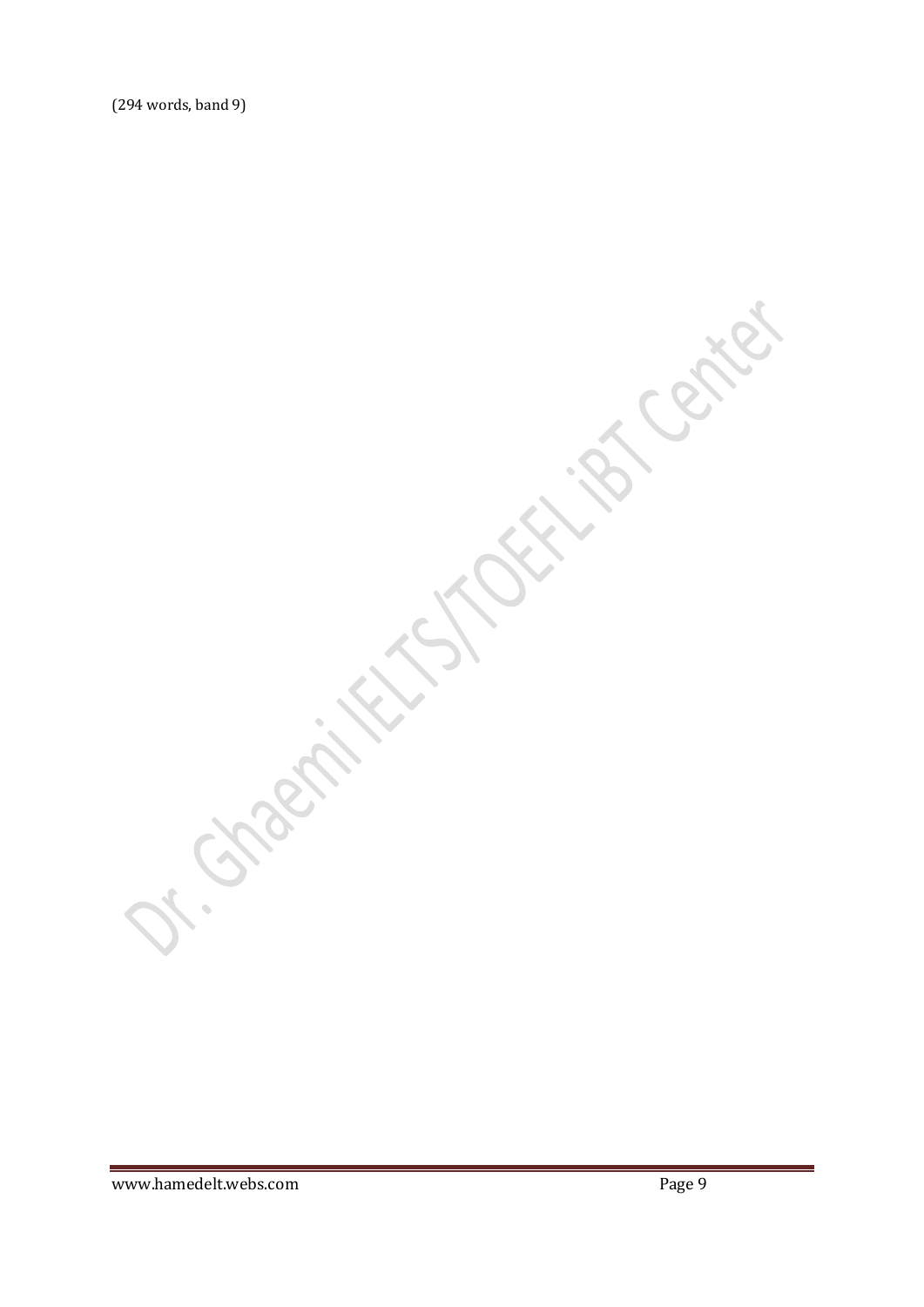(294 words, band 9)

emitty STORING Center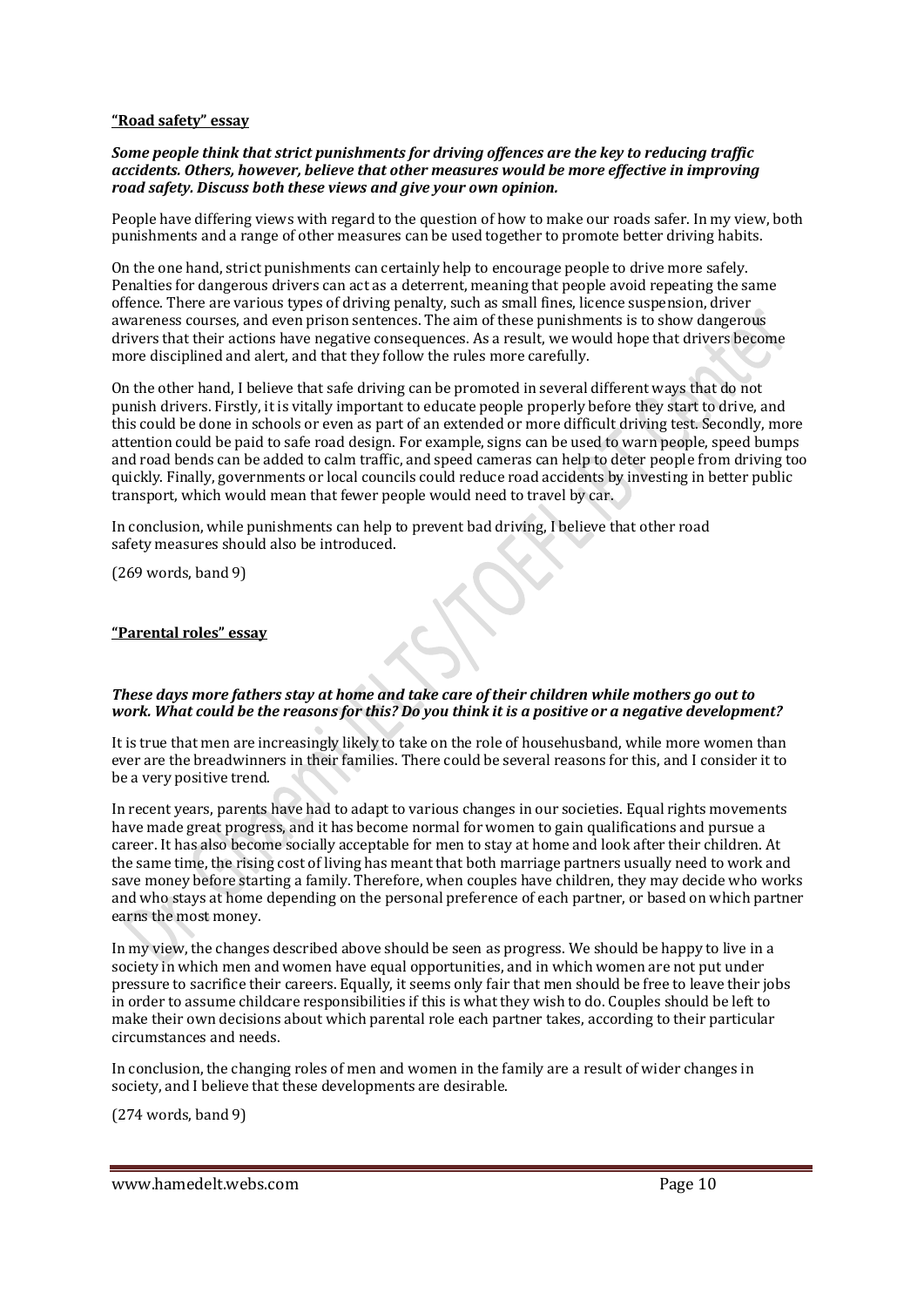# **"Road safety" essay**

# *Some people think that strict punishments for driving offences are the key to reducing traffic accidents. Others, however, believe that other measures would be more effective in improving road safety. Discuss both these views and give your own opinion.*

People have differing views with regard to the question of how to make our roads safer. In my view, both punishments and a range of other measures can be used together to promote better driving habits.

On the one hand, strict punishments can certainly help to encourage people to drive more safely. Penalties for dangerous drivers can act as a deterrent, meaning that people avoid repeating the same offence. There are various types of driving penalty, such as small fines, licence suspension, driver awareness courses, and even prison sentences. The aim of these punishments is to show dangerous drivers that their actions have negative consequences. As a result, we would hope that drivers become more disciplined and alert, and that they follow the rules more carefully.

On the other hand, I believe that safe driving can be promoted in several different ways that do not punish drivers. Firstly, it is vitally important to educate people properly before they start to drive, and this could be done in schools or even as part of an extended or more difficult driving test. Secondly, more attention could be paid to safe road design. For example, signs can be used to warn people, speed bumps and road bends can be added to calm traffic, and speed cameras can help to deter people from driving too quickly. Finally, governments or local councils could reduce road accidents by investing in better public transport, which would mean that fewer people would need to travel by car.

In conclusion, while punishments can help to prevent bad driving, I believe that other road safety measures should also be introduced.

(269 words, band 9)

# **"Parental roles" essay**

# *These days more fathers stay at home and take care of their children while mothers go out to work. What could be the reasons for this? Do you think it is a positive or a negative development?*

It is true that men are increasingly likely to take on the role of househusband, while more women than ever are the breadwinners in their families. There could be several reasons for this, and I consider it to be a very positive trend.

In recent years, parents have had to adapt to various changes in our societies. Equal rights movements have made great progress, and it has become normal for women to gain qualifications and pursue a career. It has also become socially acceptable for men to stay at home and look after their children. At the same time, the rising cost of living has meant that both marriage partners usually need to work and save money before starting a family. Therefore, when couples have children, they may decide who works and who stays at home depending on the personal preference of each partner, or based on which partner earns the most money.

In my view, the changes described above should be seen as progress. We should be happy to live in a society in which men and women have equal opportunities, and in which women are not put under pressure to sacrifice their careers. Equally, it seems only fair that men should be free to leave their jobs in order to assume childcare responsibilities if this is what they wish to do. Couples should be left to make their own decisions about which parental role each partner takes, according to their particular circumstances and needs.

In conclusion, the changing roles of men and women in the family are a result of wider changes in society, and I believe that these developments are desirable.

(274 words, band 9)

[www.hamedelt.webs.com](http://www.hamedelt.webs.com/) example a page 10 and page 10 and page 10 and page 10 and page 10 and page 10 and page 10 and page 10 and page 10 and page 10 and page 10 and page 10 and page 10 and page 10 and page 10 and page 10 an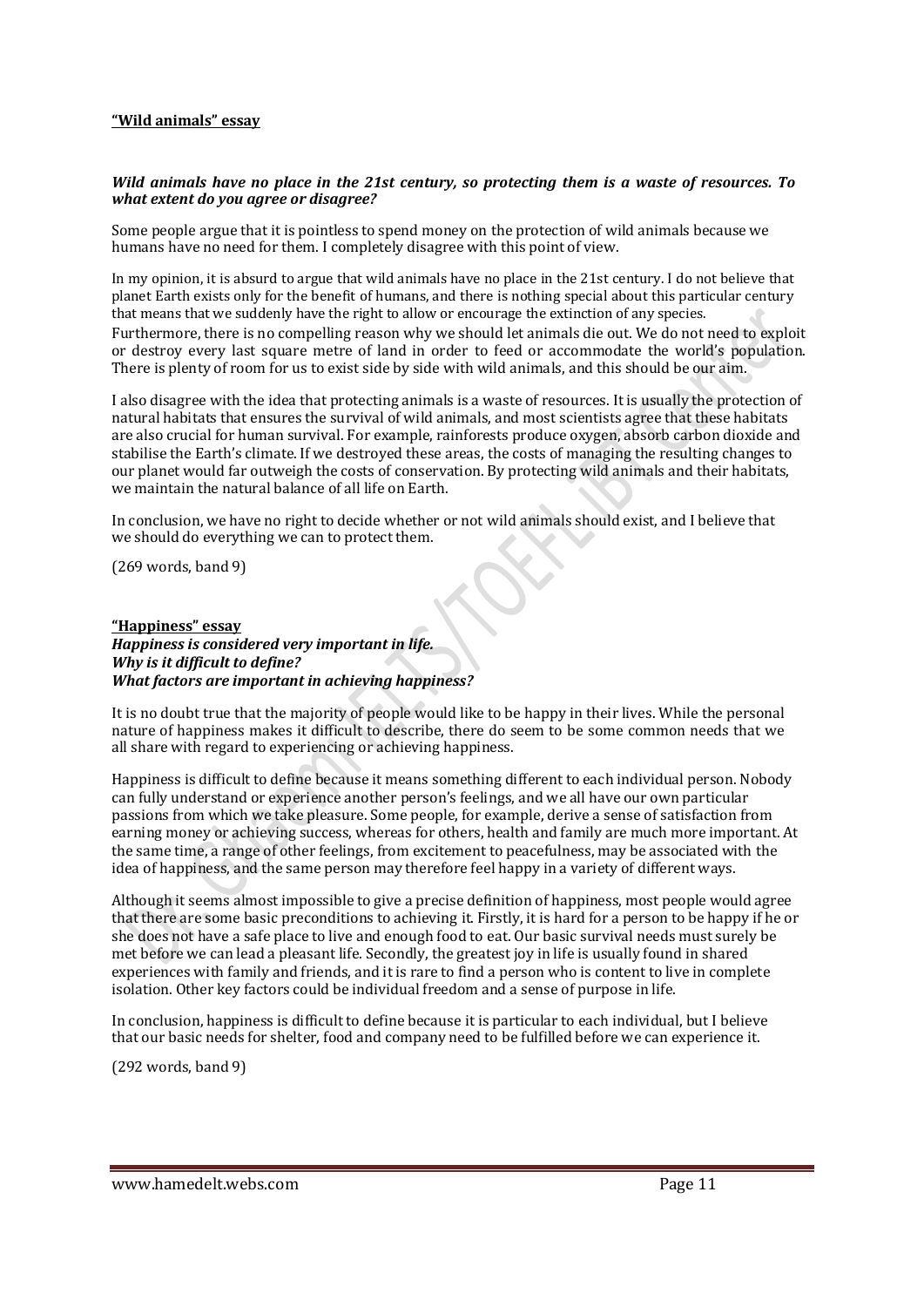# **"Wild animals" essay**

### *Wild animals have no place in the 21st century, so protecting them is a waste of resources. To what extent do you agree or disagree?*

Some people argue that it is pointless to spend money on the protection of wild animals because we humans have no need for them. I completely disagree with this point of view.

In my opinion, it is absurd to argue that wild animals have no place in the 21st century. I do not believe that planet Earth exists only for the benefit of humans, and there is nothing special about this particular century that means that we suddenly have the right to allow or encourage the extinction of any species. Furthermore, there is no compelling reason why we should let animals die out. We do not need to exploit or destroy every last square metre of land in order to feed or accommodate the world's population. There is plenty of room for us to exist side by side with wild animals, and this should be our aim.

I also disagree with the idea that protecting animals is a waste of resources. It is usually the protection of natural habitats that ensures the survival of wild animals, and most scientists agree that these habitats are also crucial for human survival. For example, rainforests produce oxygen, absorb carbon dioxide and stabilise the Earth's climate. If we destroyed these areas, the costs of managing the resulting changes to our planet would far outweigh the costs of conservation. By protecting wild animals and their habitats, we maintain the natural balance of all life on Earth.

In conclusion, we have no right to decide whether or not wild animals should exist, and I believe that we should do everything we can to protect them.

(269 words, band 9)

# **"Happiness" essay** *Happiness is considered very important in life. Why is it difficult to define? What factors are important in achieving happiness?*

It is no doubt true that the majority of people would like to be happy in their lives. While the personal nature of happiness makes it difficult to describe, there do seem to be some common needs that we all share with regard to experiencing or achieving happiness.

Happiness is difficult to define because it means something different to each individual person. Nobody can fully understand or experience another person's feelings, and we all have our own particular passions from which we take pleasure. Some people, for example, derive a sense of satisfaction from earning money or achieving success, whereas for others, health and family are much more important. At the same time, a range of other feelings, from excitement to peacefulness, may be associated with the idea of happiness, and the same person may therefore feel happy in a variety of different ways.

Although it seems almost impossible to give a precise definition of happiness, most people would agree that there are some basic preconditions to achieving it. Firstly, it is hard for a person to be happy if he or she does not have a safe place to live and enough food to eat. Our basic survival needs must surely be met before we can lead a pleasant life. Secondly, the greatest joy in life is usually found in shared experiences with family and friends, and it is rare to find a person who is content to live in complete isolation. Other key factors could be individual freedom and a sense of purpose in life.

In conclusion, happiness is difficult to define because it is particular to each individual, but I believe that our basic needs for shelter, food and company need to be fulfilled before we can experience it.

(292 words, band 9)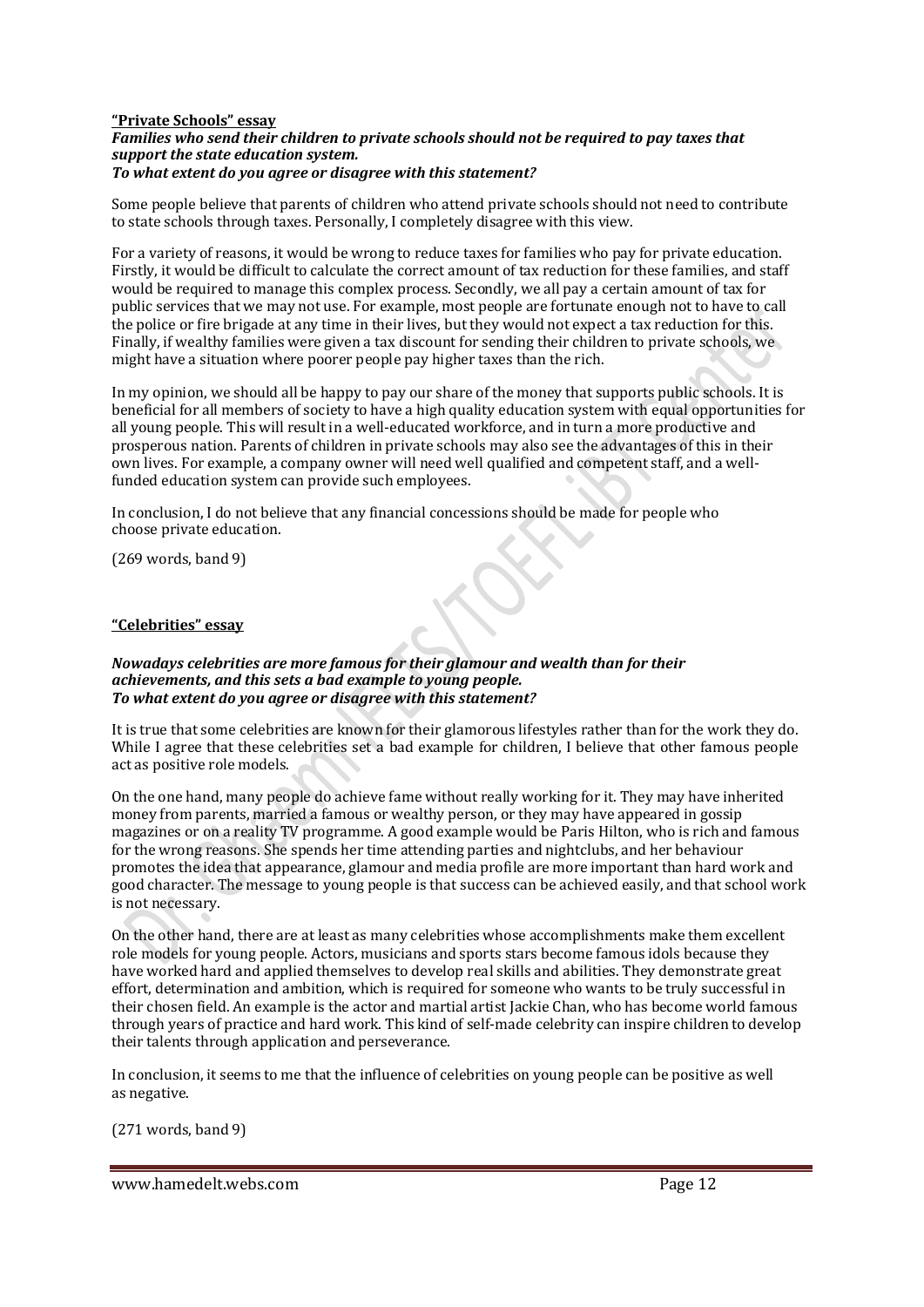#### **"Private Schools" essay** *Families who send their children to private schools should not be required to pay taxes that support the state education system. To what extent do you agree or disagree with this statement?*

Some people believe that parents of children who attend private schools should not need to contribute to state schools through taxes. Personally, I completely disagree with this view.

For a variety of reasons, it would be wrong to reduce taxes for families who pay for private education. Firstly, it would be difficult to calculate the correct amount of tax reduction for these families, and staff would be required to manage this complex process. Secondly, we all pay a certain amount of tax for public services that we may not use. For example, most people are fortunate enough not to have to call the police or fire brigade at any time in their lives, but they would not expect a tax reduction for this. Finally, if wealthy families were given a tax discount for sending their children to private schools, we might have a situation where poorer people pay higher taxes than the rich.

In my opinion, we should all be happy to pay our share of the money that supports public schools. It is beneficial for all members of society to have a high quality education system with equal opportunities for all young people. This will result in a well-educated workforce, and in turn a more productive and prosperous nation. Parents of children in private schools may also see the advantages of this in their own lives. For example, a company owner will need well qualified and competent staff, and a wellfunded education system can provide such employees.

In conclusion, I do not believe that any financial concessions should be made for people who choose private education.

(269 words, band 9)

# **"Celebrities" essay**

# *Nowadays celebrities are more famous for their glamour and wealth than for their achievements, and this sets a bad example to young people. To what extent do you agree or disagree with this statement?*

It is true that some celebrities are known for their glamorous lifestyles rather than for the work they do. While I agree that these celebrities set a bad example for children, I believe that other famous people act as positive role models.

On the one hand, many people do achieve fame without really working for it. They may have inherited money from parents, married a famous or wealthy person, or they may have appeared in gossip magazines or on a reality TV programme. A good example would be Paris Hilton, who is rich and famous for the wrong reasons. She spends her time attending parties and nightclubs, and her behaviour promotes the idea that appearance, glamour and media profile are more important than hard work and good character. The message to young people is that success can be achieved easily, and that school work is not necessary.

On the other hand, there are at least as many celebrities whose accomplishments make them excellent role models for young people. Actors, musicians and sports stars become famous idols because they have worked hard and applied themselves to develop real skills and abilities. They demonstrate great effort, determination and ambition, which is required for someone who wants to be truly successful in their chosen field. An example is the actor and martial artist Jackie Chan, who has become world famous through years of practice and hard work. This kind of self-made celebrity can inspire children to develop their talents through application and perseverance.

In conclusion, it seems to me that the influence of celebrities on young people can be positive as well as negative.

(271 words, band 9)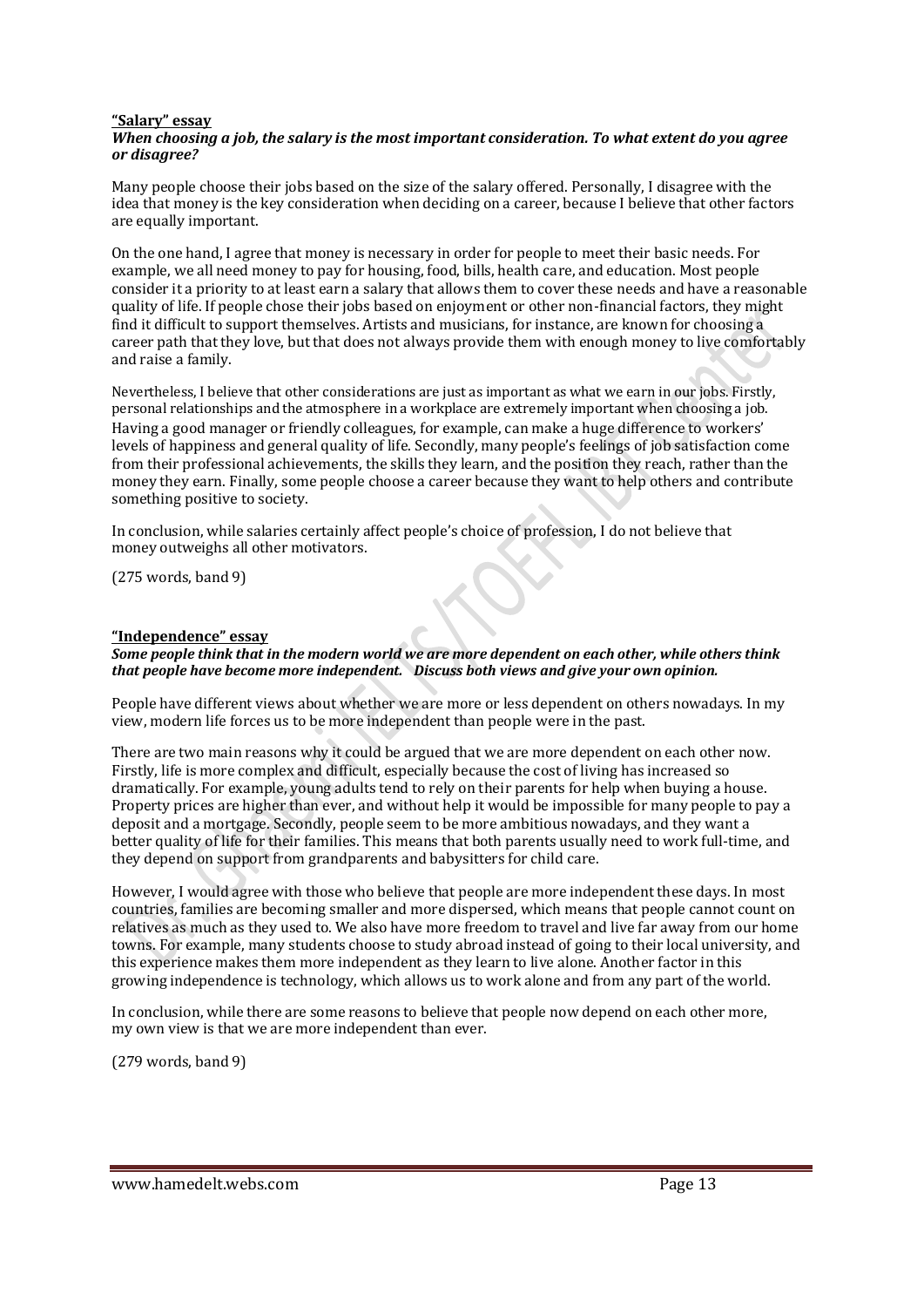#### **"Salary" essay** *When choosing a job, the salary is the most important consideration. To what extent do you agree or disagree?*

Many people choose their jobs based on the size of the salary offered. Personally, I disagree with the idea that money is the key consideration when deciding on a career, because I believe that other factors are equally important.

On the one hand, I agree that money is necessary in order for people to meet their basic needs. For example, we all need money to pay for housing, food, bills, health care, and education. Most people consider it a priority to at least earn a salary that allows them to cover these needs and have a reasonable quality of life. If people chose their jobs based on enjoyment or other non-financial factors, they might find it difficult to support themselves. Artists and musicians, for instance, are known for choosing a career path that they love, but that does not always provide them with enough money to live comfortably and raise a family.

Nevertheless, I believe that other considerations are just as important as what we earn in our jobs. Firstly, personal relationships and the atmosphere in a workplace are extremely important when choosing a job. Having a good manager or friendly colleagues, for example, can make a huge difference to workers' levels of happiness and general quality of life. Secondly, many people's feelings of job satisfaction come from their professional achievements, the skills they learn, and the position they reach, rather than the money they earn. Finally, some people choose a career because they want to help others and contribute something positive to society.

In conclusion, while salaries certainly affect people's choice of profession, I do not believe that money outweighs all other motivators.

(275 words, band 9)

#### **"Independence" essay**

### *Some people think that in the modern world we are more dependent on each other, while others think that people have become more independent. Discuss both views and give your own opinion.*

People have different views about whether we are more or less dependent on others nowadays. In my view, modern life forces us to be more independent than people were in the past.

There are two main reasons why it could be argued that we are more dependent on each other now. Firstly, life is more complex and difficult, especially because the cost of living has increased so dramatically. For example, young adults tend to rely on their parents for help when buying a house. Property prices are higher than ever, and without help it would be impossible for many people to pay a deposit and a mortgage. Secondly, people seem to be more ambitious nowadays, and they want a better quality of life for their families. This means that both parents usually need to work full-time, and they depend on support from grandparents and babysitters for child care.

However, I would agree with those who believe that people are more independent these days. In most countries, families are becoming smaller and more dispersed, which means that people cannot count on relatives as much as they used to. We also have more freedom to travel and live far away from our home towns. For example, many students choose to study abroad instead of going to their local university, and this experience makes them more independent as they learn to live alone. Another factor in this growing independence is technology, which allows us to work alone and from any part of the world.

In conclusion, while there are some reasons to believe that people now depend on each other more, my own view is that we are more independent than ever.

(279 words, band 9)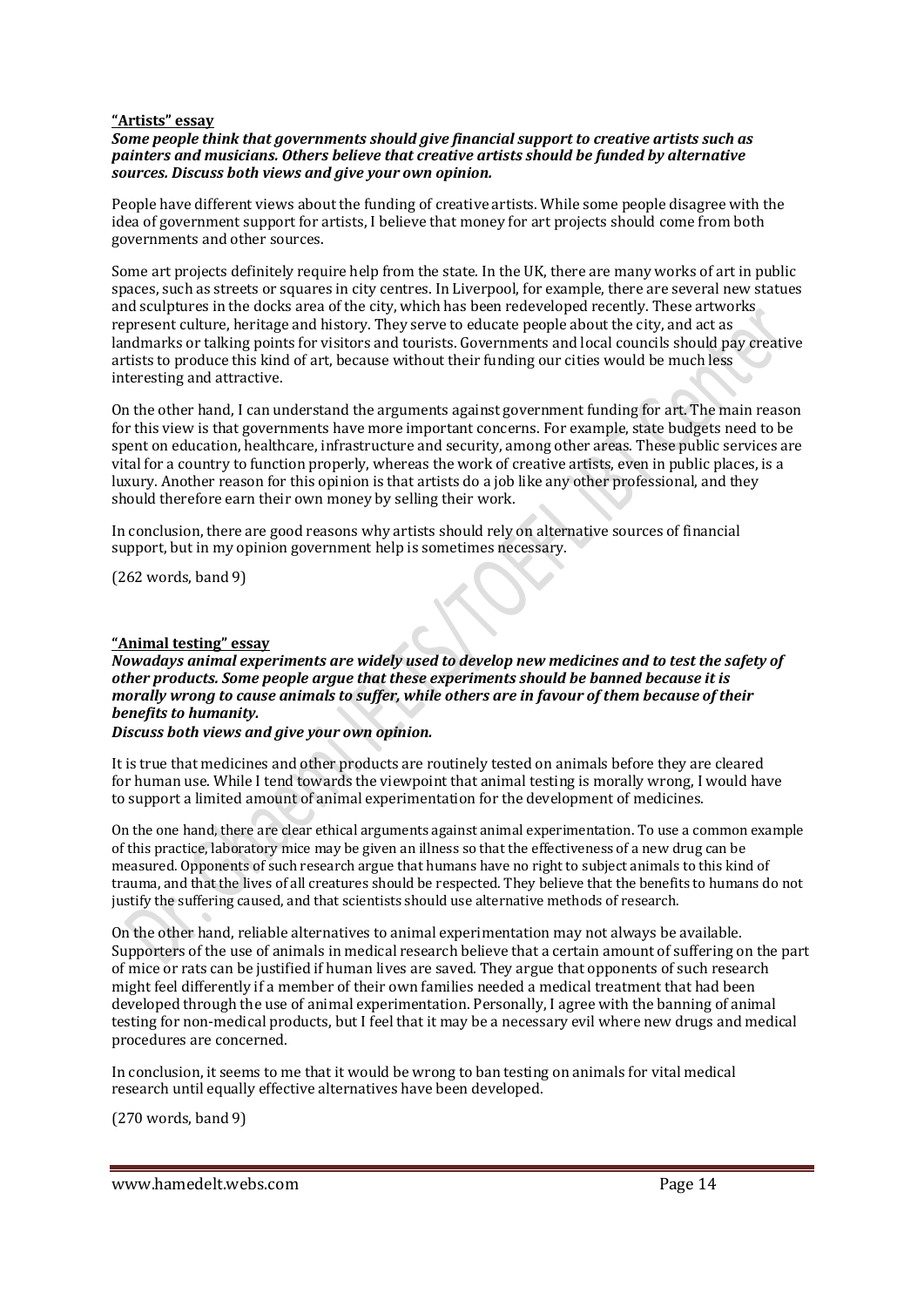# **"Artists" essay**

#### *Some people think that governments should give financial support to creative artists such as painters and musicians. Others believe that creative artists should be funded by alternative sources. Discuss both views and give your own opinion.*

People have different views about the funding of creative artists. While some people disagree with the idea of government support for artists, I believe that money for art projects should come from both governments and other sources.

Some art projects definitely require help from the state. In the UK, there are many works of art in public spaces, such as streets or squares in city centres. In Liverpool, for example, there are several new statues and sculptures in the docks area of the city, which has been redeveloped recently. These artworks represent culture, heritage and history. They serve to educate people about the city, and act as landmarks or talking points for visitors and tourists. Governments and local councils should pay creative artists to produce this kind of art, because without their funding our cities would be much less interesting and attractive.

On the other hand, I can understand the arguments against government funding for art. The main reason for this view is that governments have more important concerns. For example, state budgets need to be spent on education, healthcare, infrastructure and security, among other areas. These public services are vital for a country to function properly, whereas the work of creative artists, even in public places, is a luxury. Another reason for this opinion is that artists do a job like any other professional, and they should therefore earn their own money by selling their work.

In conclusion, there are good reasons why artists should rely on alternative sources of financial support, but in my opinion government help is sometimes necessary.

(262 words, band 9)

# **"Animal testing" essay**

# *Nowadays animal experiments are widely used to develop new medicines and to test the safety of other products. Some people argue that these experiments should be banned because it is morally wrong to cause animals to suffer, while others are in favour of them because of their benefits to humanity.*

# *Discuss both views and give your own opinion.*

It is true that medicines and other products are routinely tested on animals before they are cleared for human use. While I tend towards the viewpoint that animal testing is morally wrong, I would have to support a limited amount of animal experimentation for the development of medicines.

On the one hand, there are clear ethical arguments against animal experimentation. To use a common example of this practice, laboratory mice may be given an illness so that the effectiveness of a new drug can be measured. Opponents of such research argue that humans have no right to subject animals to this kind of trauma, and that the lives of all creatures should be respected. They believe that the benefits to humans do not justify the suffering caused, and that scientists should use alternative methods of research.

On the other hand, reliable alternatives to animal experimentation may not always be available. Supporters of the use of animals in medical research believe that a certain amount of suffering on the part of mice or rats can be justified if human lives are saved. They argue that opponents of such research might feel differently if a member of their own families needed a medical treatment that had been developed through the use of animal experimentation. Personally, I agree with the banning of animal testing for non-medical products, but I feel that it may be a necessary evil where new drugs and medical procedures are concerned.

In conclusion, it seems to me that it would be wrong to ban testing on animals for vital medical research until equally effective alternatives have been developed.

(270 words, band 9)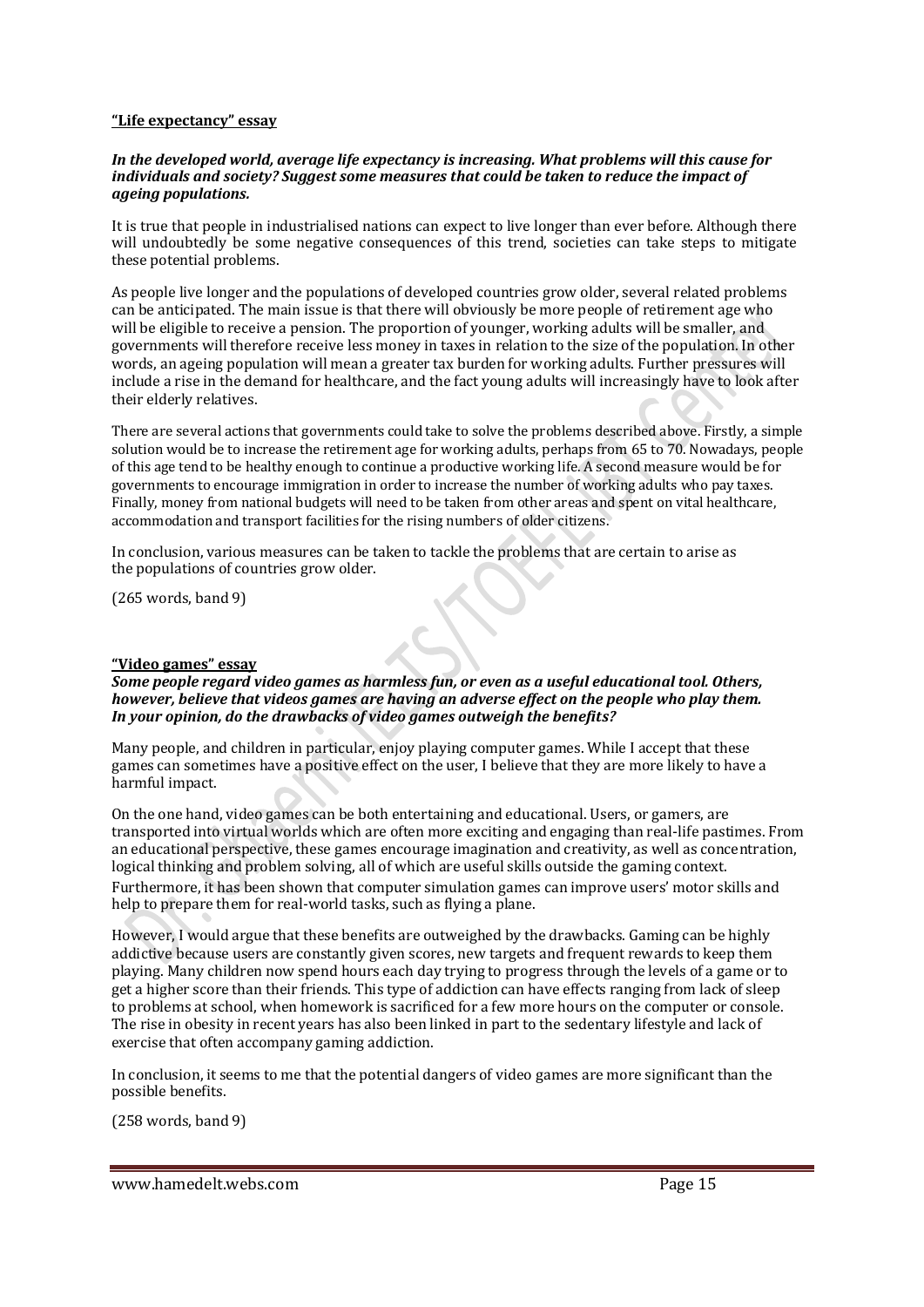# **"Life expectancy" essay**

#### *In the developed world, average life expectancy is increasing. What problems will this cause for individuals and society? Suggest some measures that could be taken to reduce the impact of ageing populations.*

It is true that people in industrialised nations can expect to live longer than ever before. Although there will undoubtedly be some negative consequences of this trend, societies can take steps to mitigate these potential problems.

As people live longer and the populations of developed countries grow older, several related problems can be anticipated. The main issue is that there will obviously be more people of retirement age who will be eligible to receive a pension. The proportion of younger, working adults will be smaller, and governments will therefore receive less money in taxes in relation to the size of the population. In other words, an ageing population will mean a greater tax burden for working adults. Further pressures will include a rise in the demand for healthcare, and the fact young adults will increasingly have to look after their elderly relatives.

There are several actions that governments could take to solve the problems described above. Firstly, a simple solution would be to increase the retirement age for working adults, perhaps from 65 to 70. Nowadays, people of this age tend to be healthy enough to continue a productive working life. A second measure would be for governments to encourage immigration in order to increase the number of working adults who pay taxes. Finally, money from national budgets will need to be taken from other areas and spent on vital healthcare, accommodation and transport facilities for the rising numbers of older citizens.

In conclusion, various measures can be taken to tackle the problems that are certain to arise as the populations of countries grow older.

(265 words, band 9)

# **"Video games" essay**

#### *Some people regard video games as harmless fun, or even as a useful educational tool. Others, however, believe that videos games are having an adverse effect on the people who play them. In your opinion, do the drawbacks of video games outweigh the benefits?*

Many people, and children in particular, enjoy playing computer games. While I accept that these games can sometimes have a positive effect on the user, I believe that they are more likely to have a harmful impact.

On the one hand, video games can be both entertaining and educational. Users, or gamers, are transported into virtual worlds which are often more exciting and engaging than real-life pastimes. From an educational perspective, these games encourage imagination and creativity, as well as concentration, logical thinking and problem solving, all of which are useful skills outside the gaming context. Furthermore, it has been shown that computer simulation games can improve users' motor skills and help to prepare them for real-world tasks, such as flying a plane.

However, I would argue that these benefits are outweighed by the drawbacks. Gaming can be highly addictive because users are constantly given scores, new targets and frequent rewards to keep them playing. Many children now spend hours each day trying to progress through the levels of a game or to get a higher score than their friends. This type of addiction can have effects ranging from lack of sleep to problems at school, when homework is sacrificed for a few more hours on the computer or console. The rise in obesity in recent years has also been linked in part to the sedentary lifestyle and lack of exercise that often accompany gaming addiction.

In conclusion, it seems to me that the potential dangers of video games are more significant than the possible benefits.

(258 words, band 9)

[www.hamedelt.webs.com](http://www.hamedelt.webs.com/) example a series of the Page 15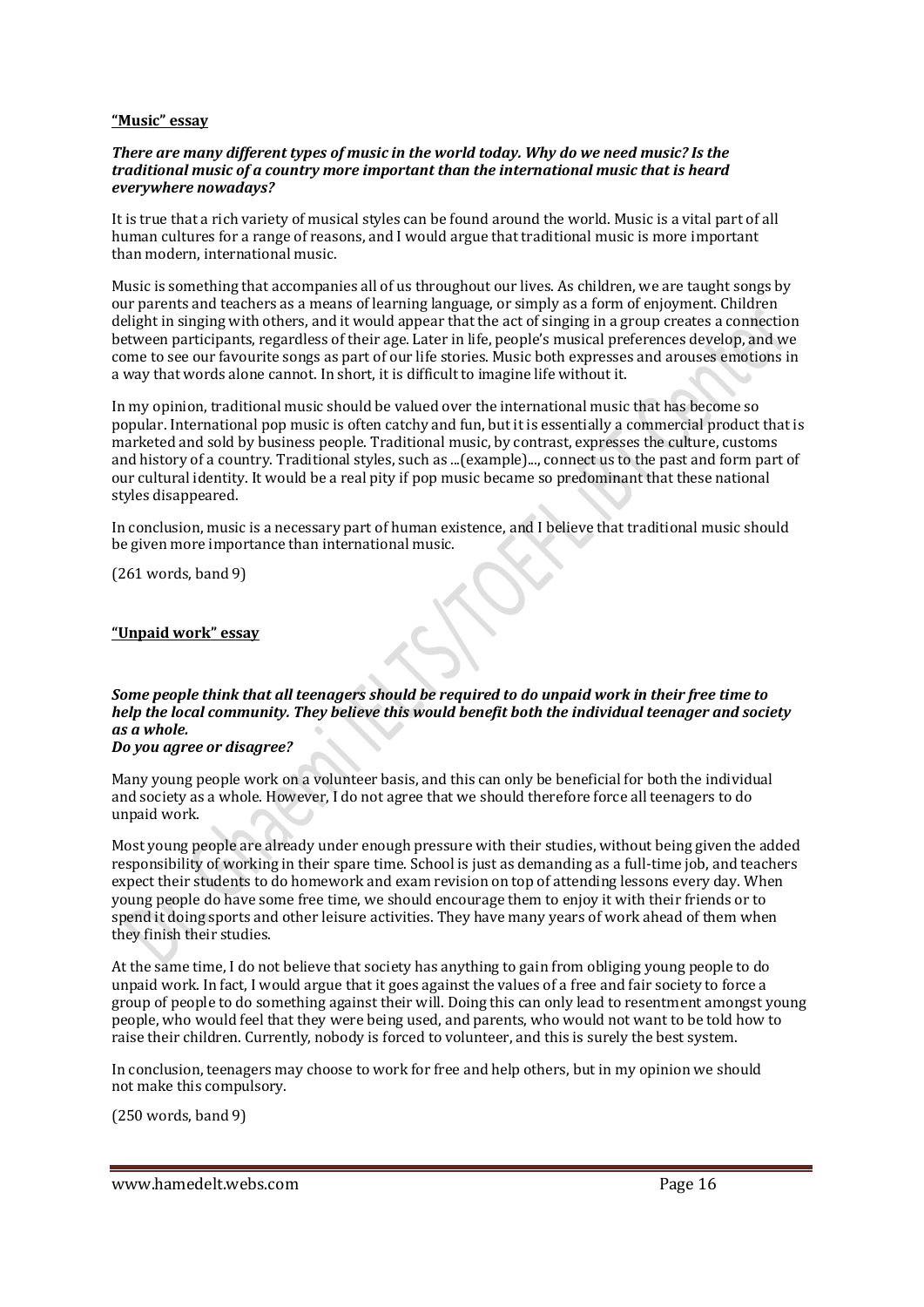# **"Music" essay**

# *There are many different types of music in the world today. Why do we need music? Is the traditional music of a country more important than the international music that is heard everywhere nowadays?*

It is true that a rich variety of musical styles can be found around the world. Music is a vital part of all human cultures for a range of reasons, and I would argue that traditional music is more important than modern, international music.

Music is something that accompanies all of us throughout our lives. As children, we are taught songs by our parents and teachers as a means of learning language, or simply as a form of enjoyment. Children delight in singing with others, and it would appear that the act of singing in a group creates a connection between participants, regardless of their age. Later in life, people's musical preferences develop, and we come to see our favourite songs as part of our life stories. Music both expresses and arouses emotions in a way that words alone cannot. In short, it is difficult to imagine life without it.

In my opinion, traditional music should be valued over the international music that has become so popular. International pop music is often catchy and fun, but it is essentially a commercial product that is marketed and sold by business people. Traditional music, by contrast, expresses the culture, customs and history of a country. Traditional styles, such as ...(example)..., connect us to the past and form part of our cultural identity. It would be a real pity if pop music became so predominant that these national styles disappeared.

In conclusion, music is a necessary part of human existence, and I believe that traditional music should be given more importance than international music.

(261 words, band 9)

# **"Unpaid work" essay**

# *Some people think that all teenagers should be required to do unpaid work in their free time to help the local community. They believe this would benefit both the individual teenager and society as a whole.*

*Do you agree or disagree?*

Many young people work on a volunteer basis, and this can only be beneficial for both the individual and society as a whole. However, I do not agree that we should therefore force all teenagers to do unpaid work.

Most young people are already under enough pressure with their studies, without being given the added responsibility of working in their spare time. School is just as demanding as a full-time job, and teachers expect their students to do homework and exam revision on top of attending lessons every day. When young people do have some free time, we should encourage them to enjoy it with their friends or to spend it doing sports and other leisure activities. They have many years of work ahead of them when they finish their studies.

At the same time, I do not believe that society has anything to gain from obliging young people to do unpaid work. In fact, I would argue that it goes against the values of a free and fair society to force a group of people to do something against their will. Doing this can only lead to resentment amongst young people, who would feel that they were being used, and parents, who would not want to be told how to raise their children. Currently, nobody is forced to volunteer, and this is surely the best system.

In conclusion, teenagers may choose to work for free and help others, but in my opinion we should not make this compulsory.

(250 words, band 9)

[www.hamedelt.webs.com](http://www.hamedelt.webs.com/) example a series of the Page 16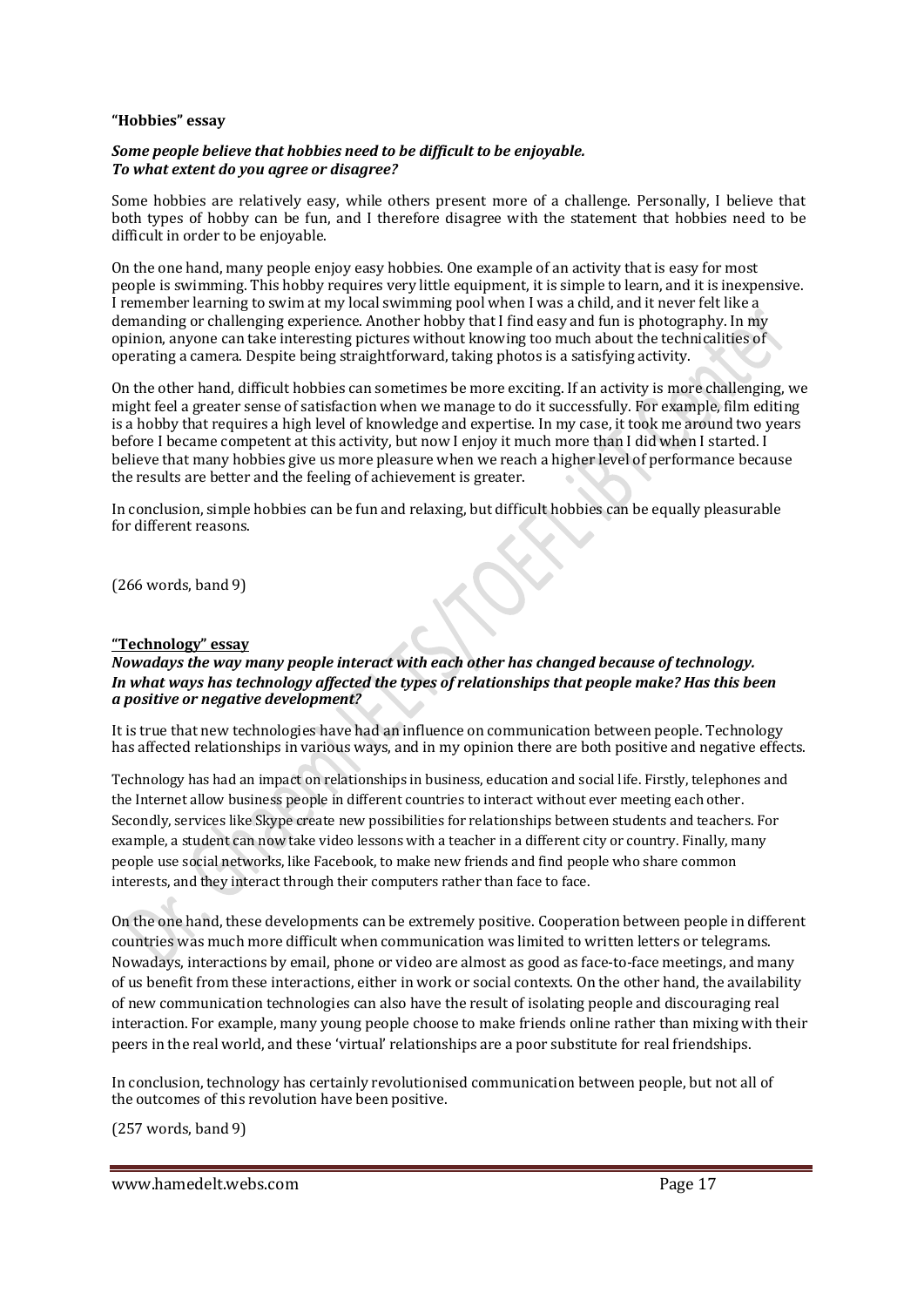# **"Hobbies" essay**

# *Some people believe that hobbies need to be difficult to be enjoyable. To what extent do you agree or disagree?*

Some hobbies are relatively easy, while others present more of a challenge. Personally, I believe that both types of hobby can be fun, and I therefore disagree with the statement that hobbies need to be difficult in order to be enjoyable.

On the one hand, many people enjoy easy hobbies. One example of an activity that is easy for most people is swimming. This hobby requires very little equipment, it is simple to learn, and it is inexpensive. I remember learning to swim at my local swimming pool when I was a child, and it never felt like a demanding or challenging experience. Another hobby that I find easy and fun is photography. In my opinion, anyone can take interesting pictures without knowing too much about the technicalities of operating a camera. Despite being straightforward, taking photos is a satisfying activity.

On the other hand, difficult hobbies can sometimes be more exciting. If an activity is more challenging, we might feel a greater sense of satisfaction when we manage to do it successfully. For example, film editing is a hobby that requires a high level of knowledge and expertise. In my case, it took me around two years before I became competent at this activity, but now I enjoy it much more than I did when I started. I believe that many hobbies give us more pleasure when we reach a higher level of performance because the results are better and the feeling of achievement is greater.

In conclusion, simple hobbies can be fun and relaxing, but difficult hobbies can be equally pleasurable for different reasons.

(266 words, band 9)

# **"Technology" essay**

# *Nowadays the way many people interact with each other has changed because of technology. In what ways has technology affected the types of relationships that people make? Has this been a positive or negative development?*

It is true that new technologies have had an influence on communication between people. Technology has affected relationships in various ways, and in my opinion there are both positive and negative effects.

Technology has had an impact on relationships in business, education and social life. Firstly, telephones and the Internet allow business people in different countries to interact without ever meeting each other. Secondly, services like Skype create new possibilities for relationships between students and teachers. For example, a student can now take video lessons with a teacher in a different city or country. Finally, many people use social networks, like Facebook, to make new friends and find people who share common interests, and they interact through their computers rather than face to face.

On the one hand, these developments can be extremely positive. Cooperation between people in different countries was much more difficult when communication was limited to written letters or telegrams. Nowadays, interactions by email, phone or video are almost as good as face-to-face meetings, and many of us benefit from these interactions, either in work or social contexts. On the other hand, the availability of new communication technologies can also have the result of isolating people and discouraging real interaction. For example, many young people choose to make friends online rather than mixing with their peers in the real world, and these 'virtual' relationships are a poor substitute for real friendships.

In conclusion, technology has certainly revolutionised communication between people, but not all of the outcomes of this revolution have been positive.

(257 words, band 9)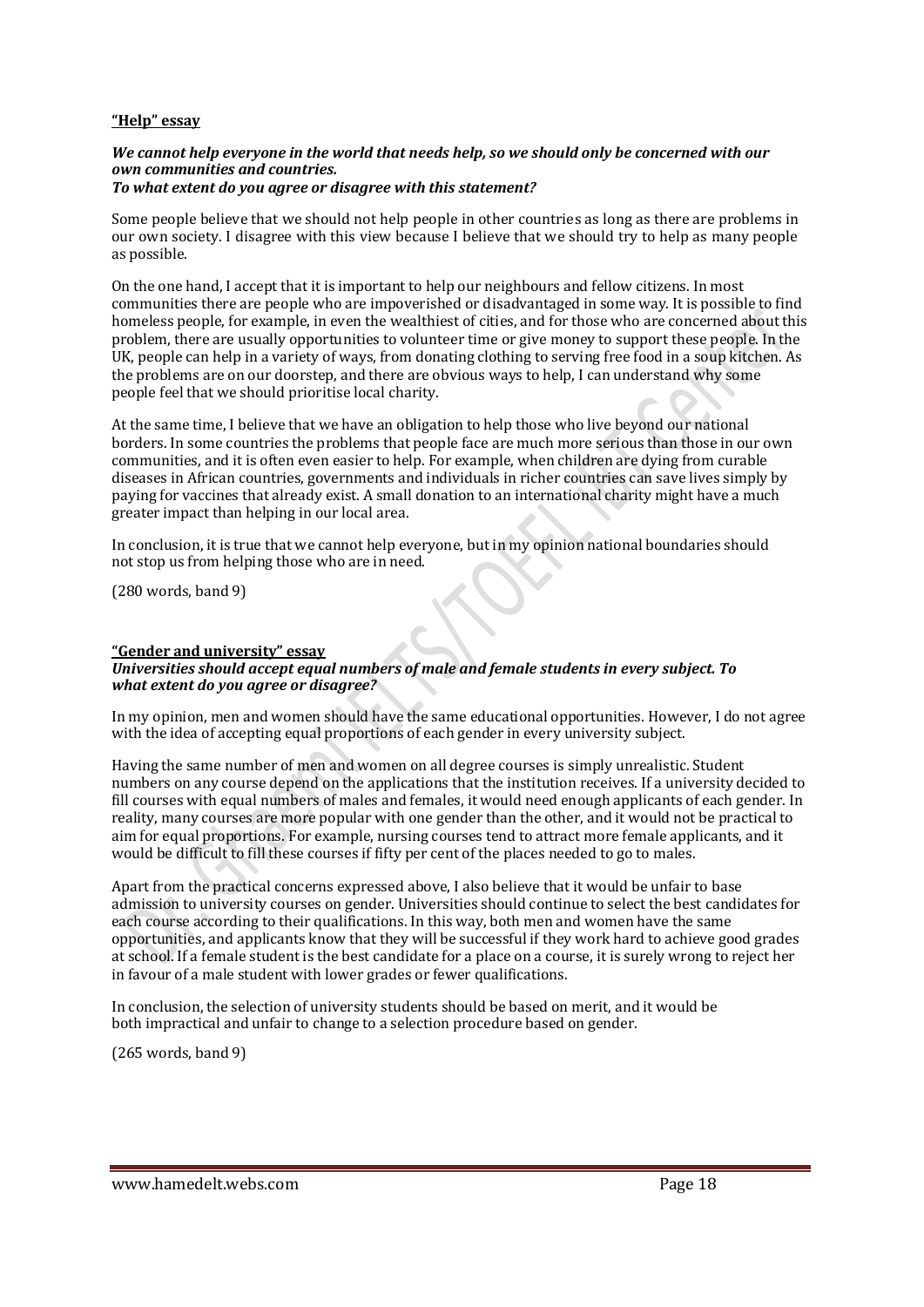# **"Help" essay**

#### *We cannot help everyone in the world that needs help, so we should only be concerned with our own communities and countries. To what extent do you agree or disagree with this statement?*

Some people believe that we should not help people in other countries as long as there are problems in our own society. I disagree with this view because I believe that we should try to help as many people as possible.

On the one hand, I accept that it is important to help our neighbours and fellow citizens. In most communities there are people who are impoverished or disadvantaged in some way. It is possible to find homeless people, for example, in even the wealthiest of cities, and for those who are concerned about this problem, there are usually opportunities to volunteer time or give money to support these people. In the UK, people can help in a variety of ways, from donating clothing to serving free food in a soup kitchen. As the problems are on our doorstep, and there are obvious ways to help, I can understand why some people feel that we should prioritise local charity.

At the same time, I believe that we have an obligation to help those who live beyond our national borders. In some countries the problems that people face are much more serious than those in our own communities, and it is often even easier to help. For example, when children are dying from curable diseases in African countries, governments and individuals in richer countries can save lives simply by paying for vaccines that already exist. A small donation to an international charity might have a much greater impact than helping in our local area.

In conclusion, it is true that we cannot help everyone, but in my opinion national boundaries should not stop us from helping those who are in need.

(280 words, band 9)

#### **"Gender and university" essay** *Universities should accept equal numbers of male and female students in every subject. To what extent do you agree or disagree?*

In my opinion, men and women should have the same educational opportunities. However, I do not agree with the idea of accepting equal proportions of each gender in every university subject.

Having the same number of men and women on all degree courses is simply unrealistic. Student numbers on any course depend on the applications that the institution receives. If a university decided to fill courses with equal numbers of males and females, it would need enough applicants of each gender. In reality, many courses are more popular with one gender than the other, and it would not be practical to aim for equal proportions. For example, nursing courses tend to attract more female applicants, and it would be difficult to fill these courses if fifty per cent of the places needed to go to males.

Apart from the practical concerns expressed above, I also believe that it would be unfair to base admission to university courses on gender. Universities should continue to select the best candidates for each course according to their qualifications. In this way, both men and women have the same opportunities, and applicants know that they will be successful if they work hard to achieve good grades at school. If a female student is the best candidate for a place on a course, it is surely wrong to reject her in favour of a male student with lower grades or fewer qualifications.

In conclusion, the selection of university students should be based on merit, and it would be both impractical and unfair to change to a selection procedure based on gender.

(265 words, band 9)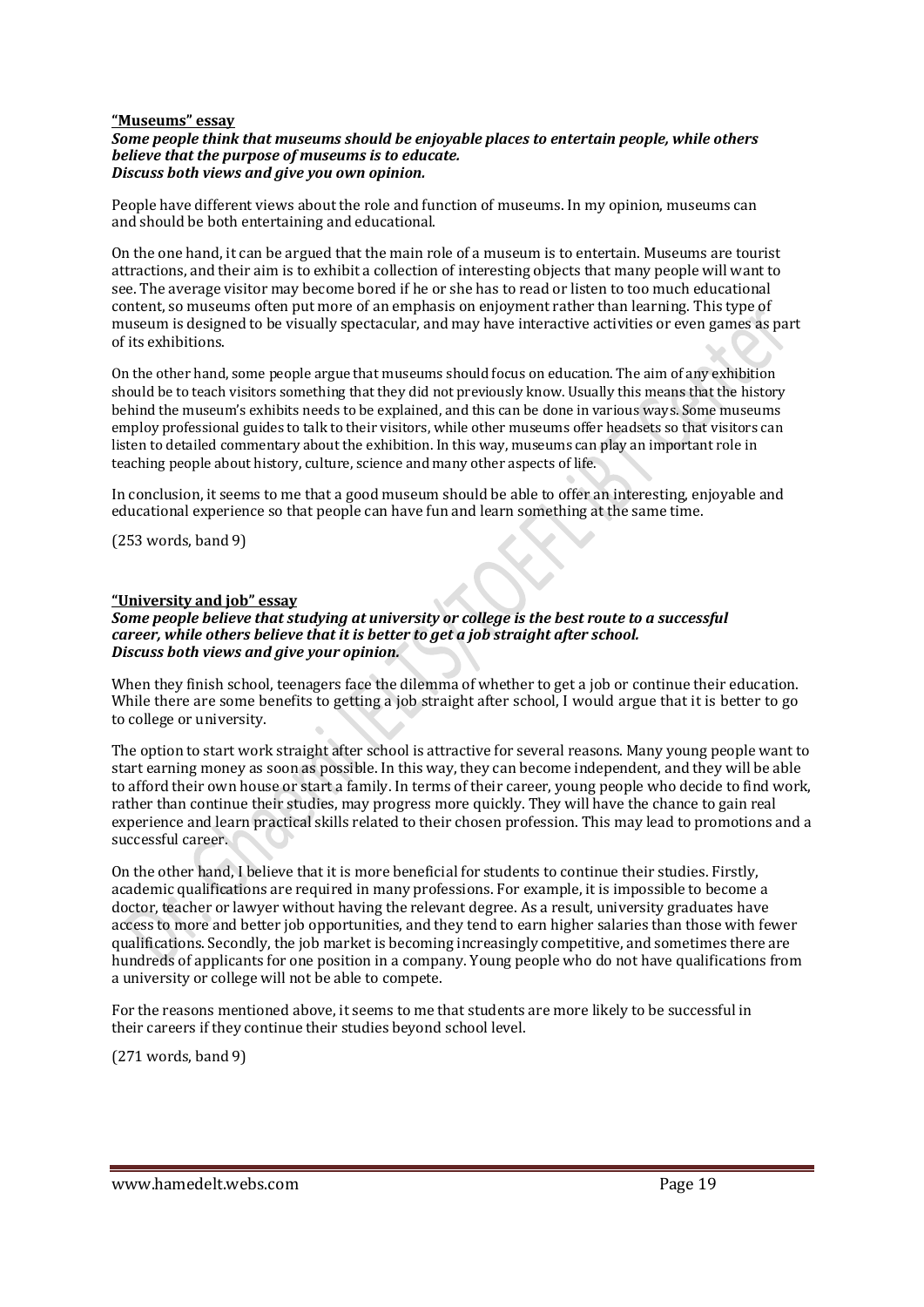# **"Museums" essay**

#### *Some people think that museums should be enjoyable places to entertain people, while others believe that the purpose of museums is to educate. Discuss both views and give you own opinion.*

People have different views about the role and function of museums. In my opinion, museums can and should be both entertaining and educational.

On the one hand, it can be argued that the main role of a museum is to entertain. Museums are tourist attractions, and their aim is to exhibit a collection of interesting objects that many people will want to see. The average visitor may become bored if he or she has to read or listen to too much educational content, so museums often put more of an emphasis on enjoyment rather than learning. This type of museum is designed to be visually spectacular, and may have interactive activities or even games as part of its exhibitions.

On the other hand, some people argue that museums should focus on education. The aim of any exhibition should be to teach visitors something that they did not previously know. Usually this means that the history behind the museum's exhibits needs to be explained, and this can be done in various ways. Some museums employ professional guides to talk to their visitors, while other museums offer headsets so that visitors can listen to detailed commentary about the exhibition. In this way, museums can play an important role in teaching people about history, culture, science and many other aspects of life.

In conclusion, it seems to me that a good museum should be able to offer an interesting, enjoyable and educational experience so that people can have fun and learn something at the same time.

(253 words, band 9)

# **"University and job" essay**

# *Some people believe that studying at university or college is the best route to a successful career, while others believe that it is better to get a job straight after school. Discuss both views and give your opinion.*

When they finish school, teenagers face the dilemma of whether to get a job or continue their education. While there are some benefits to getting a job straight after school, I would argue that it is better to go to college or university.

The option to start work straight after school is attractive for several reasons. Many young people want to start earning money as soon as possible. In this way, they can become independent, and they will be able to afford their own house or start a family. In terms of their career, young people who decide to find work, rather than continue their studies, may progress more quickly. They will have the chance to gain real experience and learn practical skills related to their chosen profession. This may lead to promotions and a successful career.

On the other hand, I believe that it is more beneficial for students to continue their studies. Firstly, academic qualifications are required in many professions. For example, it is impossible to become a doctor, teacher or lawyer without having the relevant degree. As a result, university graduates have access to more and better job opportunities, and they tend to earn higher salaries than those with fewer qualifications. Secondly, the job market is becoming increasingly competitive, and sometimes there are hundreds of applicants for one position in a company. Young people who do not have qualifications from a university or college will not be able to compete.

For the reasons mentioned above, it seems to me that students are more likely to be successful in their careers if they continue their studies beyond school level.

(271 words, band 9)